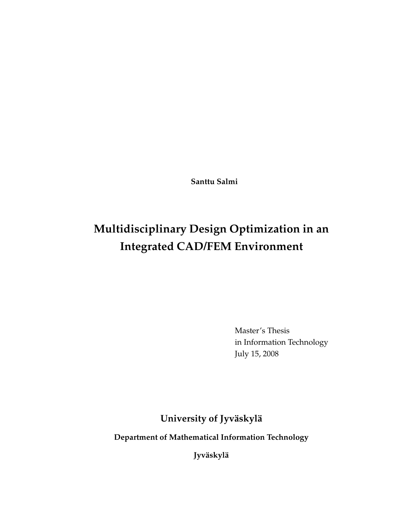**Santtu Salmi**

# **Multidisciplinary Design Optimization in an Integrated CAD/FEM Environment**

Master's Thesis in Information Technology July 15, 2008

**University of Jyväskylä**

**Department of Mathematical Information Technology**

**Jyväskylä**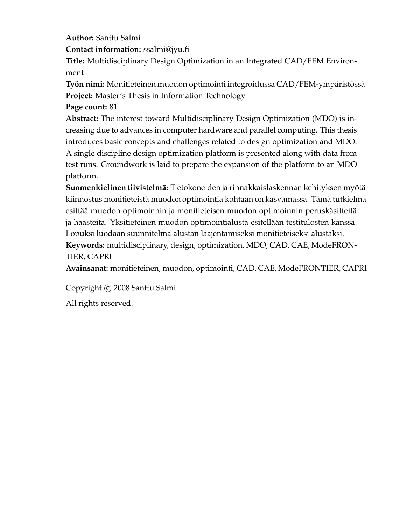**Author:** Santtu Salmi

**Contact information:** ssalmi@jyu.fi

**Title:** Multidisciplinary Design Optimization in an Integrated CAD/FEM Environment

**Työn nimi:** Monitieteinen muodon optimointi integroidussa CAD/FEM-ympäristössä **Project:** Master's Thesis in Information Technology

**Page count:** 81

**Abstract:** The interest toward Multidisciplinary Design Optimization (MDO) is increasing due to advances in computer hardware and parallel computing. This thesis introduces basic concepts and challenges related to design optimization and MDO. A single discipline design optimization platform is presented along with data from test runs. Groundwork is laid to prepare the expansion of the platform to an MDO platform.

**Suomenkielinen tiivistelmä:** Tietokoneiden ja rinnakkaislaskennan kehityksen myötä kiinnostus monitieteistä muodon optimointia kohtaan on kasvamassa. Tämä tutkielma esittää muodon optimoinnin ja monitieteisen muodon optimoinnin peruskäsitteitä ja haasteita. Yksitieteinen muodon optimointialusta esitellään testitulosten kanssa. Lopuksi luodaan suunnitelma alustan laajentamiseksi monitieteiseksi alustaksi. **Keywords:** multidisciplinary, design, optimization, MDO, CAD, CAE, ModeFRON-TIER, CAPRI

**Avainsanat:** monitieteinen, muodon, optimointi, CAD, CAE, ModeFRONTIER, CAPRI

Copyright © 2008 Santtu Salmi

All rights reserved.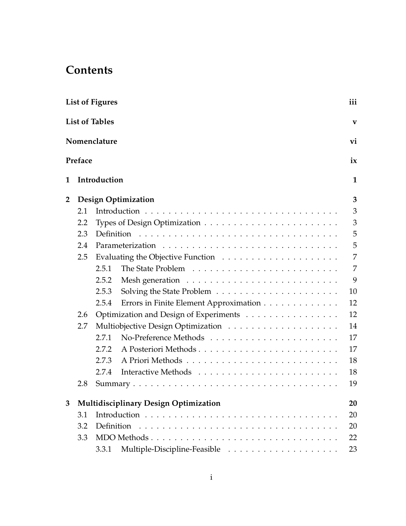# **Contents**

|                | <b>List of Figures</b>                               |                       |                                              | iii |
|----------------|------------------------------------------------------|-----------------------|----------------------------------------------|-----|
|                |                                                      | <b>List of Tables</b> |                                              | V   |
|                |                                                      | Nomenclature          |                                              | vi  |
|                | Preface                                              |                       |                                              | ix  |
| 1              |                                                      | Introduction          |                                              | 1   |
| $\overline{2}$ |                                                      |                       | <b>Design Optimization</b>                   | 3   |
|                | 2.1                                                  |                       |                                              | 3   |
|                | 2.2                                                  |                       |                                              | 3   |
|                | 2.3                                                  |                       |                                              | 5   |
|                | 2.4                                                  |                       |                                              | 5   |
|                | 2.5                                                  |                       |                                              | 7   |
|                |                                                      | 2.5.1                 |                                              | 7   |
|                |                                                      | 2.5.2                 |                                              | 9   |
|                |                                                      | 2.5.3                 |                                              | 10  |
|                |                                                      | 2.5.4                 | Errors in Finite Element Approximation       | 12  |
|                | Optimization and Design of Experiments<br>2.6<br>2.7 |                       |                                              | 12  |
|                |                                                      |                       |                                              | 14  |
|                |                                                      | 2.7.1                 |                                              | 17  |
|                |                                                      | 2.7.2                 |                                              | 17  |
|                |                                                      | 2.7.3                 |                                              | 18  |
|                |                                                      | 2.7.4                 |                                              | 18  |
|                | 2.8                                                  |                       |                                              | 19  |
| 3              |                                                      |                       | <b>Multidisciplinary Design Optimization</b> | 20  |
|                | 3.1                                                  |                       |                                              | 20  |
|                | 3.2                                                  | Definition            |                                              | 20  |
|                | 3.3                                                  |                       |                                              | 22  |
|                |                                                      | 3.3.1                 |                                              | 23  |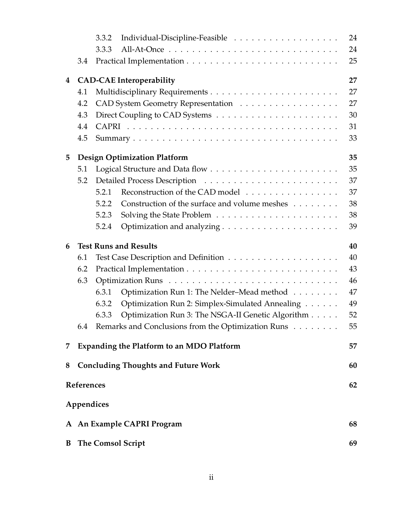|   |            | 3.3.2                                                      | 24 |
|---|------------|------------------------------------------------------------|----|
|   |            | 3.3.3                                                      | 24 |
|   | 3.4        |                                                            | 25 |
| 4 |            | <b>CAD-CAE</b> Interoperability                            | 27 |
|   | 4.1        |                                                            | 27 |
|   | 4.2        | CAD System Geometry Representation                         | 27 |
|   | 4.3        |                                                            | 30 |
|   | 4.4        |                                                            | 31 |
|   | 4.5        |                                                            | 33 |
| 5 |            | <b>Design Optimization Platform</b>                        | 35 |
|   | 5.1        |                                                            | 35 |
|   | 5.2        |                                                            | 37 |
|   |            | Reconstruction of the CAD model<br>5.2.1                   | 37 |
|   |            | Construction of the surface and volume meshes<br>5.2.2     | 38 |
|   |            | 5.2.3                                                      | 38 |
|   |            | 5.2.4                                                      | 39 |
| 6 |            | <b>Test Runs and Results</b>                               | 40 |
|   | 6.1        |                                                            | 40 |
|   | 6.2        |                                                            | 43 |
|   | 6.3        |                                                            | 46 |
|   |            | Optimization Run 1: The Nelder-Mead method<br>6.3.1        | 47 |
|   |            | Optimization Run 2: Simplex-Simulated Annealing<br>6.3.2   | 49 |
|   |            | Optimization Run 3: The NSGA-II Genetic Algorithm<br>6.3.3 | 52 |
|   | 6.4        | Remarks and Conclusions from the Optimization Runs         | 55 |
| 7 |            | <b>Expanding the Platform to an MDO Platform</b>           | 57 |
| 8 |            | <b>Concluding Thoughts and Future Work</b>                 | 60 |
|   | References |                                                            | 62 |
|   |            |                                                            |    |
|   |            | Appendices                                                 |    |
|   |            | A An Example CAPRI Program                                 | 68 |
| B |            | <b>The Comsol Script</b>                                   | 69 |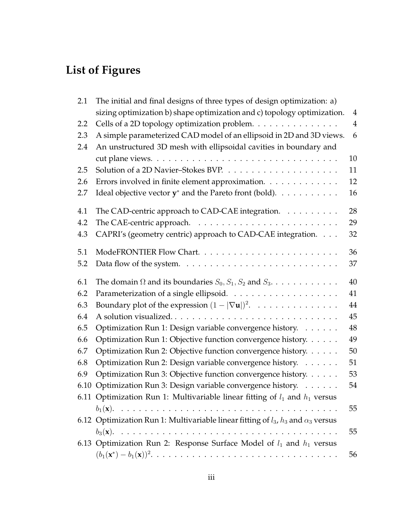# **List of Figures**

| 2.1  | The initial and final designs of three types of design optimization: a)                      |                |
|------|----------------------------------------------------------------------------------------------|----------------|
|      | sizing optimization b) shape optimization and c) topology optimization.                      | $\overline{4}$ |
| 2.2  | Cells of a 2D topology optimization problem.                                                 | $\overline{4}$ |
| 2.3  | A simple parameterized CAD model of an ellipsoid in 2D and 3D views.                         | 6              |
| 2.4  | An unstructured 3D mesh with ellipsoidal cavities in boundary and                            |                |
|      |                                                                                              | 10             |
| 2.5  |                                                                                              | 11             |
| 2.6  | Errors involved in finite element approximation.                                             | 12             |
| 2.7  | Ideal objective vector $y^*$ and the Pareto front (bold). $\dots \dots \dots$                | 16             |
| 4.1  | The CAD-centric approach to CAD-CAE integration.                                             | 28             |
| 4.2  |                                                                                              | 29             |
| 4.3  | CAPRI's (geometry centric) approach to CAD-CAE integration.                                  | 32             |
| 5.1  |                                                                                              | 36             |
| 5.2  |                                                                                              | 37             |
| 6.1  | The domain $\Omega$ and its boundaries $S_0$ , $S_1$ , $S_2$ and $S_3$ .                     | 40             |
| 6.2  |                                                                                              | 41             |
| 6.3  | Boundary plot of the expression $(1 -  \nabla \mathbf{u} )^2$ .                              | 44             |
| 6.4  | A solution visualized                                                                        | 45             |
| 6.5  | Optimization Run 1: Design variable convergence history.                                     | 48             |
| 6.6  | Optimization Run 1: Objective function convergence history.                                  | 49             |
| 6.7  | Optimization Run 2: Objective function convergence history.                                  | 50             |
| 6.8  | Optimization Run 2: Design variable convergence history.                                     | 51             |
| 6.9  | Optimization Run 3: Objective function convergence history.                                  | 53             |
| 6.10 | Optimization Run 3: Design variable convergence history.                                     | 54             |
|      | 6.11 Optimization Run 1: Multivariable linear fitting of $l_1$ and $h_1$ versus              |                |
|      |                                                                                              | 55             |
|      | 6.12 Optimization Run 1: Multivariable linear fitting of $l_3$ , $h_3$ and $\alpha_3$ versus |                |
|      |                                                                                              | 55             |
|      | 6.13 Optimization Run 2: Response Surface Model of $l_1$ and $h_1$ versus                    |                |
|      |                                                                                              | 56             |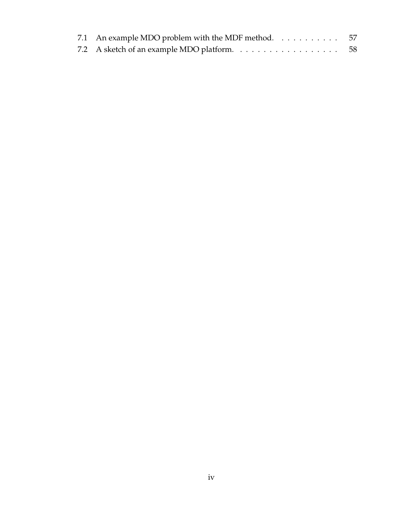| 7.1 An example MDO problem with the MDF method. $\dots \dots \dots \dots$ |  |
|---------------------------------------------------------------------------|--|
|                                                                           |  |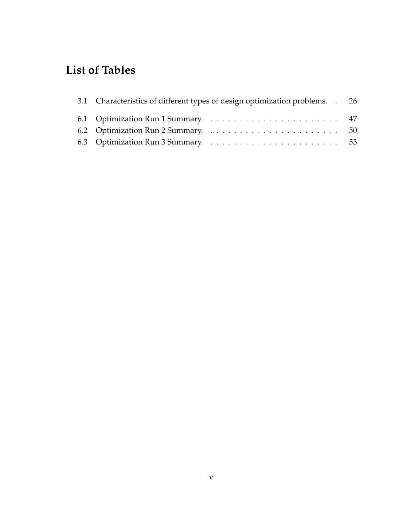# **List of Tables**

| 3.1 Characteristics of different types of design optimization problems. . 26                 |  |
|----------------------------------------------------------------------------------------------|--|
|                                                                                              |  |
|                                                                                              |  |
| 6.3 Optimization Run 3 Summary. $\ldots \ldots \ldots \ldots \ldots \ldots \ldots \ldots$ 53 |  |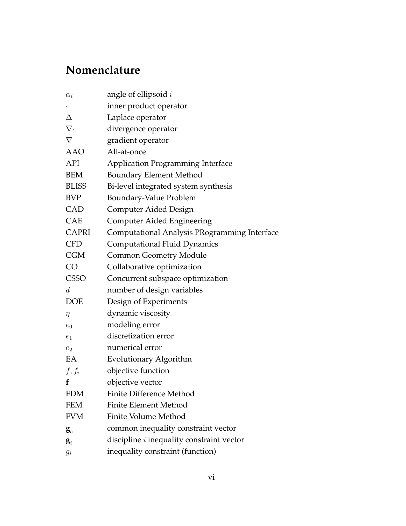# **Nomenclature**

| angle of ellipsoid $i$                           |
|--------------------------------------------------|
| inner product operator                           |
| Laplace operator                                 |
| divergence operator                              |
| gradient operator                                |
| All-at-once                                      |
| <b>Application Programming Interface</b>         |
| <b>Boundary Element Method</b>                   |
| Bi-level integrated system synthesis             |
| Boundary-Value Problem                           |
| Computer Aided Design                            |
| <b>Computer Aided Engineering</b>                |
| Computational Analysis PRogramming Interface     |
| <b>Computational Fluid Dynamics</b>              |
| <b>Common Geometry Module</b>                    |
| Collaborative optimization                       |
| Concurrent subspace optimization                 |
| number of design variables                       |
| Design of Experiments                            |
| dynamic viscosity                                |
| modeling error                                   |
| discretization error                             |
| numerical error                                  |
| Evolutionary Algorithm                           |
| objective function                               |
| objective vector                                 |
| Finite Difference Method                         |
| <b>Finite Element Method</b>                     |
| Finite Volume Method                             |
| common inequality constraint vector              |
| discipline <i>i</i> inequality constraint vector |
| inequality constraint (function)                 |
|                                                  |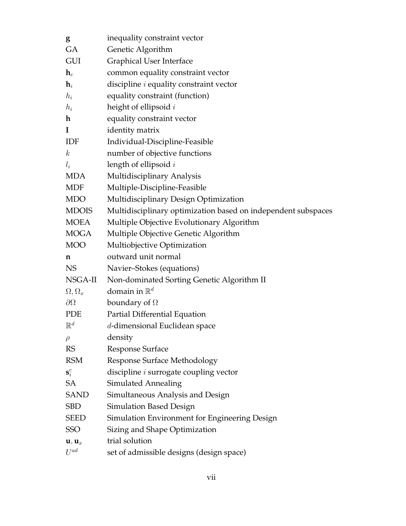| g                                      | inequality constraint vector                                  |
|----------------------------------------|---------------------------------------------------------------|
| <b>GA</b>                              | Genetic Algorithm                                             |
| <b>GUI</b>                             | <b>Graphical User Interface</b>                               |
| $\mathbf{h}_c$                         | common equality constraint vector                             |
| $\mathbf{h}_i$                         | discipline $i$ equality constraint vector                     |
| $h_i$                                  | equality constraint (function)                                |
| $h_i$                                  | height of ellipsoid $i$                                       |
| $\mathbf{h}$                           | equality constraint vector                                    |
| <b>I</b>                               | identity matrix                                               |
| IDF                                    | Individual-Discipline-Feasible                                |
| $\boldsymbol{k}$                       | number of objective functions                                 |
| $l_i$                                  | length of ellipsoid $i$                                       |
| <b>MDA</b>                             | Multidisciplinary Analysis                                    |
| MDF                                    | Multiple-Discipline-Feasible                                  |
| <b>MDO</b>                             | Multidisciplinary Design Optimization                         |
| <b>MDOIS</b>                           | Multidisciplinary optimization based on independent subspaces |
| <b>MOEA</b>                            | Multiple Objective Evolutionary Algorithm                     |
| <b>MOGA</b>                            | Multiple Objective Genetic Algorithm                          |
| <b>MOO</b>                             | Multiobjective Optimization                                   |
| n                                      | outward unit normal                                           |
| <b>NS</b>                              | Navier-Stokes (equations)                                     |
| NSGA-II                                | Non-dominated Sorting Genetic Algorithm II                    |
| $\Omega, \Omega_x$                     | domain in $\mathbb{R}^d$                                      |
| $\partial\Omega$                       | boundary of $\Omega$                                          |
| <b>PDE</b>                             | Partial Differential Equation                                 |
| $\mathbb{R}^d$                         | d-dimensional Euclidean space                                 |
| $\rho$                                 | density                                                       |
| <b>RS</b>                              | <b>Response Surface</b>                                       |
| <b>RSM</b>                             | <b>Response Surface Methodology</b>                           |
| $\mathbf{s}_i^c$                       | discipline <i>i</i> surrogate coupling vector                 |
| <b>SA</b>                              | <b>Simulated Annealing</b>                                    |
| <b>SAND</b>                            | Simultaneous Analysis and Design                              |
|                                        |                                                               |
| SBD                                    | <b>Simulation Based Design</b>                                |
| <b>SEED</b>                            | Simulation Environment for Engineering Design                 |
| <b>SSO</b>                             | Sizing and Shape Optimization                                 |
| $\mathbf{u}, \mathbf{u}_x$<br>$U^{ad}$ | trial solution                                                |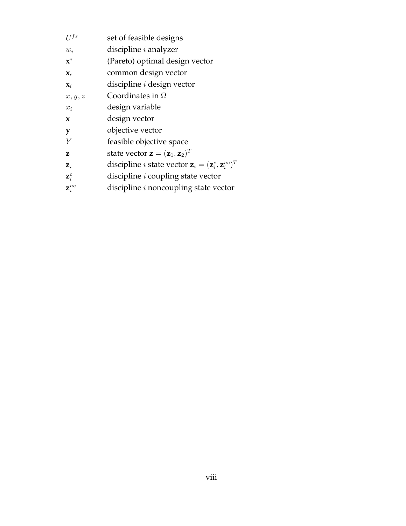| $II^{fs}$           | set of feasible designs                                                                 |
|---------------------|-----------------------------------------------------------------------------------------|
| $w_i$               | discipline $i$ analyzer                                                                 |
| $\mathbf{x}^*$      | (Pareto) optimal design vector                                                          |
| $\mathbf{X}_c$      | common design vector                                                                    |
| $\mathbf{x}_i$      | discipline <i>i</i> design vector                                                       |
| x, y, z             | Coordinates in $\Omega$                                                                 |
| $x_i$               | design variable                                                                         |
| $\mathbf x$         | design vector                                                                           |
| y                   | objective vector                                                                        |
| Y                   | feasible objective space                                                                |
| 7.                  | state vector $\mathbf{z} = (\mathbf{z}_1, \mathbf{z}_2)^T$                              |
| $\mathbf{Z}_i$      | discipline <i>i</i> state vector $\mathbf{z}_i = (\mathbf{z}_i^c, \mathbf{z}_i^{nc})^T$ |
| $\mathbf{Z}_i^c$    | discipline <i>i</i> coupling state vector                                               |
| $\mathbf{z}^{nc}_i$ | discipline <i>i</i> noncoupling state vector                                            |
|                     |                                                                                         |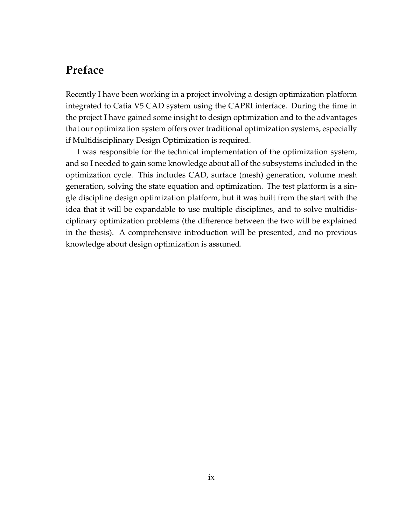# **Preface**

Recently I have been working in a project involving a design optimization platform integrated to Catia V5 CAD system using the CAPRI interface. During the time in the project I have gained some insight to design optimization and to the advantages that our optimization system offers over traditional optimization systems, especially if Multidisciplinary Design Optimization is required.

I was responsible for the technical implementation of the optimization system, and so I needed to gain some knowledge about all of the subsystems included in the optimization cycle. This includes CAD, surface (mesh) generation, volume mesh generation, solving the state equation and optimization. The test platform is a single discipline design optimization platform, but it was built from the start with the idea that it will be expandable to use multiple disciplines, and to solve multidisciplinary optimization problems (the difference between the two will be explained in the thesis). A comprehensive introduction will be presented, and no previous knowledge about design optimization is assumed.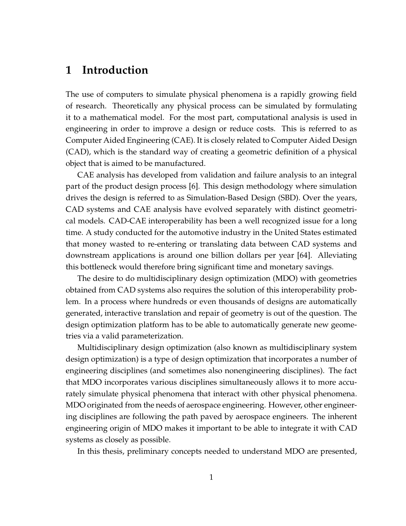# **1 Introduction**

The use of computers to simulate physical phenomena is a rapidly growing field of research. Theoretically any physical process can be simulated by formulating it to a mathematical model. For the most part, computational analysis is used in engineering in order to improve a design or reduce costs. This is referred to as Computer Aided Engineering (CAE). It is closely related to Computer Aided Design (CAD), which is the standard way of creating a geometric definition of a physical object that is aimed to be manufactured.

CAE analysis has developed from validation and failure analysis to an integral part of the product design process [6]. This design methodology where simulation drives the design is referred to as Simulation-Based Design (SBD). Over the years, CAD systems and CAE analysis have evolved separately with distinct geometrical models. CAD-CAE interoperability has been a well recognized issue for a long time. A study conducted for the automotive industry in the United States estimated that money wasted to re-entering or translating data between CAD systems and downstream applications is around one billion dollars per year [64]. Alleviating this bottleneck would therefore bring significant time and monetary savings.

The desire to do multidisciplinary design optimization (MDO) with geometries obtained from CAD systems also requires the solution of this interoperability problem. In a process where hundreds or even thousands of designs are automatically generated, interactive translation and repair of geometry is out of the question. The design optimization platform has to be able to automatically generate new geometries via a valid parameterization.

Multidisciplinary design optimization (also known as multidisciplinary system design optimization) is a type of design optimization that incorporates a number of engineering disciplines (and sometimes also nonengineering disciplines). The fact that MDO incorporates various disciplines simultaneously allows it to more accurately simulate physical phenomena that interact with other physical phenomena. MDO originated from the needs of aerospace engineering. However, other engineering disciplines are following the path paved by aerospace engineers. The inherent engineering origin of MDO makes it important to be able to integrate it with CAD systems as closely as possible.

In this thesis, preliminary concepts needed to understand MDO are presented,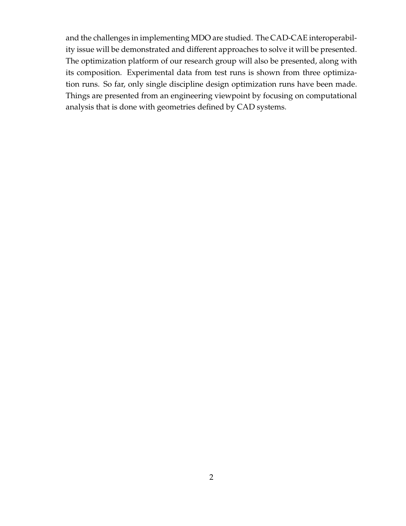and the challenges in implementing MDO are studied. The CAD-CAE interoperability issue will be demonstrated and different approaches to solve it will be presented. The optimization platform of our research group will also be presented, along with its composition. Experimental data from test runs is shown from three optimization runs. So far, only single discipline design optimization runs have been made. Things are presented from an engineering viewpoint by focusing on computational analysis that is done with geometries defined by CAD systems.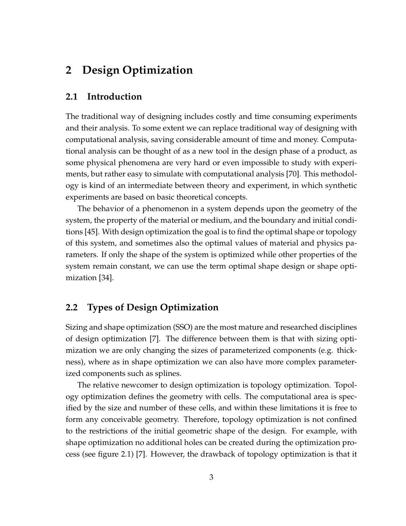# **2 Design Optimization**

### **2.1 Introduction**

The traditional way of designing includes costly and time consuming experiments and their analysis. To some extent we can replace traditional way of designing with computational analysis, saving considerable amount of time and money. Computational analysis can be thought of as a new tool in the design phase of a product, as some physical phenomena are very hard or even impossible to study with experiments, but rather easy to simulate with computational analysis [70]. This methodology is kind of an intermediate between theory and experiment, in which synthetic experiments are based on basic theoretical concepts.

The behavior of a phenomenon in a system depends upon the geometry of the system, the property of the material or medium, and the boundary and initial conditions [45]. With design optimization the goal is to find the optimal shape or topology of this system, and sometimes also the optimal values of material and physics parameters. If only the shape of the system is optimized while other properties of the system remain constant, we can use the term optimal shape design or shape optimization [34].

## **2.2 Types of Design Optimization**

Sizing and shape optimization (SSO) are the most mature and researched disciplines of design optimization [7]. The difference between them is that with sizing optimization we are only changing the sizes of parameterized components (e.g. thickness), where as in shape optimization we can also have more complex parameterized components such as splines.

The relative newcomer to design optimization is topology optimization. Topology optimization defines the geometry with cells. The computational area is specified by the size and number of these cells, and within these limitations it is free to form any conceivable geometry. Therefore, topology optimization is not confined to the restrictions of the initial geometric shape of the design. For example, with shape optimization no additional holes can be created during the optimization process (see figure 2.1) [7]. However, the drawback of topology optimization is that it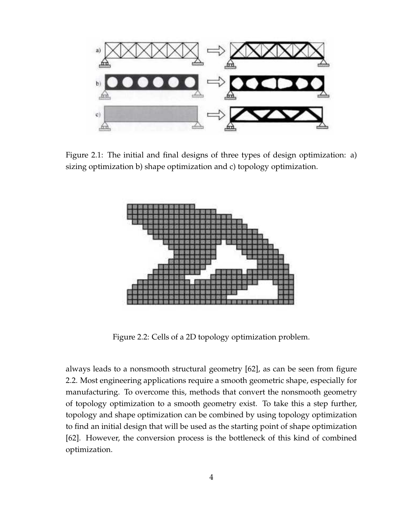

Figure 2.1: The initial and final designs of three types of design optimization: a) sizing optimization b) shape optimization and c) topology optimization.



Figure 2.2: Cells of a 2D topology optimization problem.

always leads to a nonsmooth structural geometry [62], as can be seen from figure 2.2. Most engineering applications require a smooth geometric shape, especially for manufacturing. To overcome this, methods that convert the nonsmooth geometry of topology optimization to a smooth geometry exist. To take this a step further, topology and shape optimization can be combined by using topology optimization to find an initial design that will be used as the starting point of shape optimization [62]. However, the conversion process is the bottleneck of this kind of combined optimization.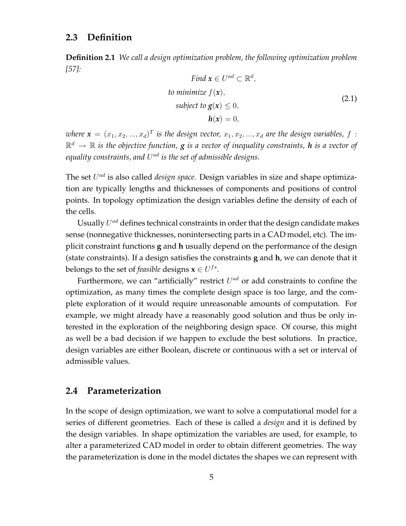## **2.3 Definition**

**Definition 2.1** *We call a design optimization problem, the following optimization problem [57]:*

Find 
$$
\mathbf{x} \in U^{ad} \subset \mathbb{R}^d
$$
,  
to minimize  $f(\mathbf{x})$ ,  
subject to  $\mathbf{g}(\mathbf{x}) \le 0$ ,  
 $\mathbf{h}(\mathbf{x}) = 0$ , (2.1)

where  $\pmb{x} = (x_1, x_2, ..., x_d)^T$  is the design vector,  $x_1, x_2, ..., x_d$  are the design variables,  $f$  :  $\mathbb{R}^d \, \rightarrow \, \mathbb{R}$  is the objective function,  $g$  is a vector of inequality constraints,  $h$  is a vector of equality constraints, and  $U^{ad}$  is the set of admissible designs.

The set  $U^{ad}$  is also called *design space*. Design variables in size and shape optimization are typically lengths and thicknesses of components and positions of control points. In topology optimization the design variables define the density of each of the cells.

Usually  $U^{ad}$  defines technical constraints in order that the design candidate makes sense (nonnegative thicknesses, nonintersecting parts in a CAD model, etc). The implicit constraint functions **g** and **h** usually depend on the performance of the design (state constraints). If a design satisfies the constraints **g** and **h**, we can denote that it belongs to the set of *feasible* designs  $\mathbf{x} \in U^{fs}$ .

Furthermore, we can "artificially" restrict  $U^{ad}$  or add constraints to confine the optimization, as many times the complete design space is too large, and the complete exploration of it would require unreasonable amounts of computation. For example, we might already have a reasonably good solution and thus be only interested in the exploration of the neighboring design space. Of course, this might as well be a bad decision if we happen to exclude the best solutions. In practice, design variables are either Boolean, discrete or continuous with a set or interval of admissible values.

## **2.4 Parameterization**

In the scope of design optimization, we want to solve a computational model for a series of different geometries. Each of these is called a *design* and it is defined by the design variables. In shape optimization the variables are used, for example, to alter a parameterized CAD model in order to obtain different geometries. The way the parameterization is done in the model dictates the shapes we can represent with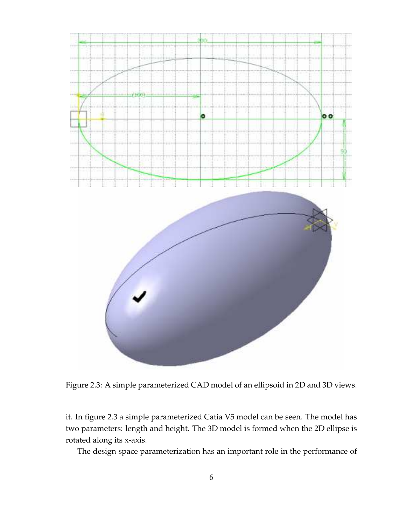

Figure 2.3: A simple parameterized CAD model of an ellipsoid in 2D and 3D views.

it. In figure 2.3 a simple parameterized Catia V5 model can be seen. The model has two parameters: length and height. The 3D model is formed when the 2D ellipse is rotated along its x-axis.

The design space parameterization has an important role in the performance of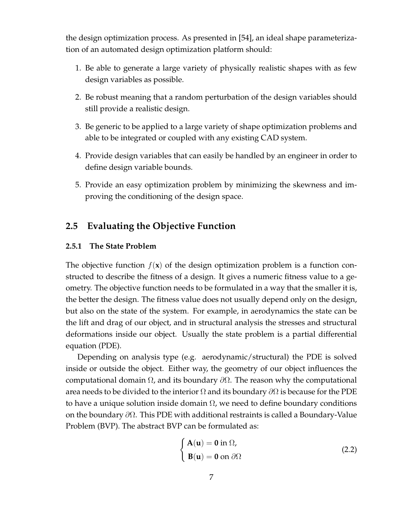the design optimization process. As presented in [54], an ideal shape parameterization of an automated design optimization platform should:

- 1. Be able to generate a large variety of physically realistic shapes with as few design variables as possible.
- 2. Be robust meaning that a random perturbation of the design variables should still provide a realistic design.
- 3. Be generic to be applied to a large variety of shape optimization problems and able to be integrated or coupled with any existing CAD system.
- 4. Provide design variables that can easily be handled by an engineer in order to define design variable bounds.
- 5. Provide an easy optimization problem by minimizing the skewness and improving the conditioning of the design space.

# **2.5 Evaluating the Objective Function**

#### **2.5.1 The State Problem**

The objective function  $f(\mathbf{x})$  of the design optimization problem is a function constructed to describe the fitness of a design. It gives a numeric fitness value to a geometry. The objective function needs to be formulated in a way that the smaller it is, the better the design. The fitness value does not usually depend only on the design, but also on the state of the system. For example, in aerodynamics the state can be the lift and drag of our object, and in structural analysis the stresses and structural deformations inside our object. Usually the state problem is a partial differential equation (PDE).

Depending on analysis type (e.g. aerodynamic/structural) the PDE is solved inside or outside the object. Either way, the geometry of our object influences the computational domain  $Ω$ , and its boundary  $\partial Ω$ . The reason why the computational area needs to be divided to the interior  $\Omega$  and its boundary  $\partial\Omega$  is because for the PDE to have a unique solution inside domain  $\Omega$ , we need to define boundary conditions on the boundary ∂Ω. This PDE with additional restraints is called a Boundary-Value Problem (BVP). The abstract BVP can be formulated as:

$$
\begin{cases}\n\mathbf{A}(\mathbf{u}) = \mathbf{0} \text{ in } \Omega, \\
\mathbf{B}(\mathbf{u}) = \mathbf{0} \text{ on } \partial\Omega\n\end{cases}
$$
\n(2.2)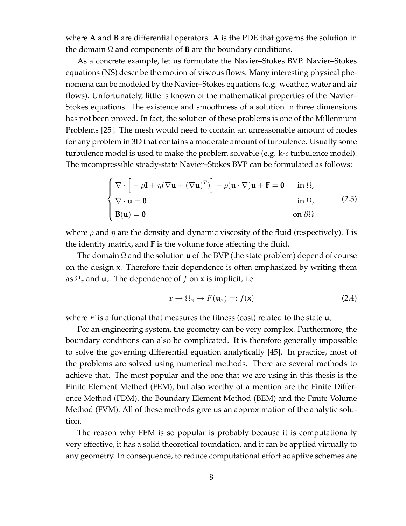where **A** and **B** are differential operators. **A** is the PDE that governs the solution in the domain  $\Omega$  and components of **B** are the boundary conditions.

As a concrete example, let us formulate the Navier–Stokes BVP. Navier–Stokes equations (NS) describe the motion of viscous flows. Many interesting physical phenomena can be modeled by the Navier–Stokes equations (e.g. weather, water and air flows). Unfortunately, little is known of the mathematical properties of the Navier– Stokes equations. The existence and smoothness of a solution in three dimensions has not been proved. In fact, the solution of these problems is one of the Millennium Problems [25]. The mesh would need to contain an unreasonable amount of nodes for any problem in 3D that contains a moderate amount of turbulence. Usually some turbulence model is used to make the problem solvable (e.g.  $k-\epsilon$  turbulence model). The incompressible steady-state Navier–Stokes BVP can be formulated as follows:

$$
\begin{cases}\n\nabla \cdot \left[ -\rho \mathbf{I} + \eta (\nabla \mathbf{u} + (\nabla \mathbf{u})^T) \right] - \rho (\mathbf{u} \cdot \nabla) \mathbf{u} + \mathbf{F} = \mathbf{0} & \text{in } \Omega, \\
\nabla \cdot \mathbf{u} = \mathbf{0} & \text{in } \Omega, \\
\mathbf{B}(\mathbf{u}) = \mathbf{0} & \text{on } \partial \Omega\n\end{cases}
$$
\n(2.3)

where  $\rho$  and  $\eta$  are the density and dynamic viscosity of the fluid (respectively). **I** is the identity matrix, and **F** is the volume force affecting the fluid.

The domain Ω and the solution **u** of the BVP (the state problem) depend of course on the design **x**. Therefore their dependence is often emphasized by writing them as  $\Omega_x$  and  $\mathbf{u}_x$ . The dependence of f on **x** is implicit, i.e.

$$
x \to \Omega_x \to F(\mathbf{u}_x) =: f(\mathbf{x}) \tag{2.4}
$$

where F is a functional that measures the fitness (cost) related to the state  $\mathbf{u}_x$ 

For an engineering system, the geometry can be very complex. Furthermore, the boundary conditions can also be complicated. It is therefore generally impossible to solve the governing differential equation analytically [45]. In practice, most of the problems are solved using numerical methods. There are several methods to achieve that. The most popular and the one that we are using in this thesis is the Finite Element Method (FEM), but also worthy of a mention are the Finite Difference Method (FDM), the Boundary Element Method (BEM) and the Finite Volume Method (FVM). All of these methods give us an approximation of the analytic solution.

The reason why FEM is so popular is probably because it is computationally very effective, it has a solid theoretical foundation, and it can be applied virtually to any geometry. In consequence, to reduce computational effort adaptive schemes are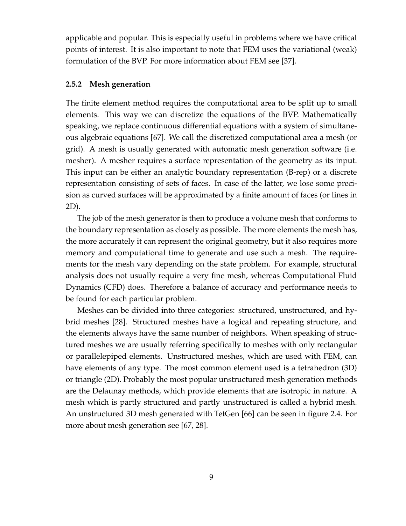applicable and popular. This is especially useful in problems where we have critical points of interest. It is also important to note that FEM uses the variational (weak) formulation of the BVP. For more information about FEM see [37].

#### **2.5.2 Mesh generation**

The finite element method requires the computational area to be split up to small elements. This way we can discretize the equations of the BVP. Mathematically speaking, we replace continuous differential equations with a system of simultaneous algebraic equations [67]. We call the discretized computational area a mesh (or grid). A mesh is usually generated with automatic mesh generation software (i.e. mesher). A mesher requires a surface representation of the geometry as its input. This input can be either an analytic boundary representation (B-rep) or a discrete representation consisting of sets of faces. In case of the latter, we lose some precision as curved surfaces will be approximated by a finite amount of faces (or lines in 2D).

The job of the mesh generator is then to produce a volume mesh that conforms to the boundary representation as closely as possible. The more elements the mesh has, the more accurately it can represent the original geometry, but it also requires more memory and computational time to generate and use such a mesh. The requirements for the mesh vary depending on the state problem. For example, structural analysis does not usually require a very fine mesh, whereas Computational Fluid Dynamics (CFD) does. Therefore a balance of accuracy and performance needs to be found for each particular problem.

Meshes can be divided into three categories: structured, unstructured, and hybrid meshes [28]. Structured meshes have a logical and repeating structure, and the elements always have the same number of neighbors. When speaking of structured meshes we are usually referring specifically to meshes with only rectangular or parallelepiped elements. Unstructured meshes, which are used with FEM, can have elements of any type. The most common element used is a tetrahedron (3D) or triangle (2D). Probably the most popular unstructured mesh generation methods are the Delaunay methods, which provide elements that are isotropic in nature. A mesh which is partly structured and partly unstructured is called a hybrid mesh. An unstructured 3D mesh generated with TetGen [66] can be seen in figure 2.4. For more about mesh generation see [67, 28].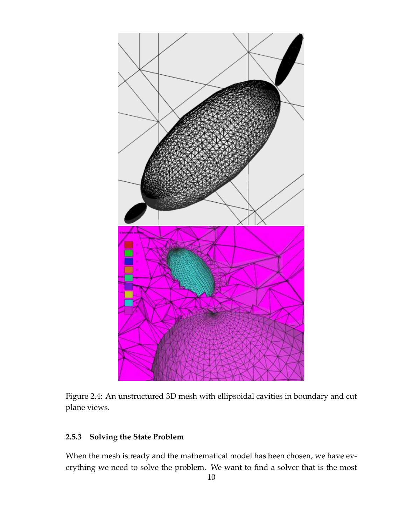

Figure 2.4: An unstructured 3D mesh with ellipsoidal cavities in boundary and cut plane views.

## **2.5.3 Solving the State Problem**

When the mesh is ready and the mathematical model has been chosen, we have everything we need to solve the problem. We want to find a solver that is the most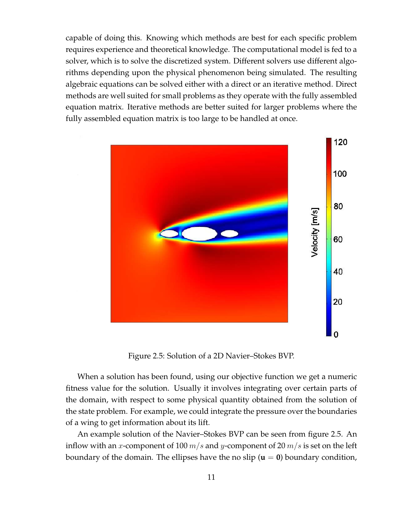capable of doing this. Knowing which methods are best for each specific problem requires experience and theoretical knowledge. The computational model is fed to a solver, which is to solve the discretized system. Different solvers use different algorithms depending upon the physical phenomenon being simulated. The resulting algebraic equations can be solved either with a direct or an iterative method. Direct methods are well suited for small problems as they operate with the fully assembled equation matrix. Iterative methods are better suited for larger problems where the fully assembled equation matrix is too large to be handled at once.



Figure 2.5: Solution of a 2D Navier–Stokes BVP.

When a solution has been found, using our objective function we get a numeric fitness value for the solution. Usually it involves integrating over certain parts of the domain, with respect to some physical quantity obtained from the solution of the state problem. For example, we could integrate the pressure over the boundaries of a wing to get information about its lift.

An example solution of the Navier–Stokes BVP can be seen from figure 2.5. An inflow with an x-component of 100  $m/s$  and y-component of 20  $m/s$  is set on the left boundary of the domain. The ellipses have the no slip  $(\mathbf{u} = \mathbf{0})$  boundary condition,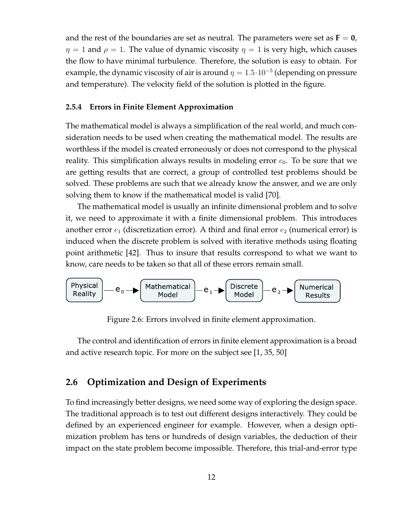and the rest of the boundaries are set as neutral. The parameters were set as  $\mathbf{F} = \mathbf{0}$ ,  $\eta = 1$  and  $\rho = 1$ . The value of dynamic viscosity  $\eta = 1$  is very high, which causes the flow to have minimal turbulence. Therefore, the solution is easy to obtain. For example, the dynamic viscosity of air is around  $\eta = 1.5 \cdot 10^{-5}$  (depending on pressure and temperature). The velocity field of the solution is plotted in the figure.

#### **2.5.4 Errors in Finite Element Approximation**

The mathematical model is always a simplification of the real world, and much consideration needs to be used when creating the mathematical model. The results are worthless if the model is created erroneously or does not correspond to the physical reality. This simplification always results in modeling error  $e_0$ . To be sure that we are getting results that are correct, a group of controlled test problems should be solved. These problems are such that we already know the answer, and we are only solving them to know if the mathematical model is valid [70].

The mathematical model is usually an infinite dimensional problem and to solve it, we need to approximate it with a finite dimensional problem. This introduces another error  $e_1$  (discretization error). A third and final error  $e_2$  (numerical error) is induced when the discrete problem is solved with iterative methods using floating point arithmetic [42]. Thus to insure that results correspond to what we want to know, care needs to be taken so that all of these errors remain small.



Figure 2.6: Errors involved in finite element approximation.

The control and identification of errors in finite element approximation is a broad and active research topic. For more on the subject see [1, 35, 50]

### **2.6 Optimization and Design of Experiments**

To find increasingly better designs, we need some way of exploring the design space. The traditional approach is to test out different designs interactively. They could be defined by an experienced engineer for example. However, when a design optimization problem has tens or hundreds of design variables, the deduction of their impact on the state problem become impossible. Therefore, this trial-and-error type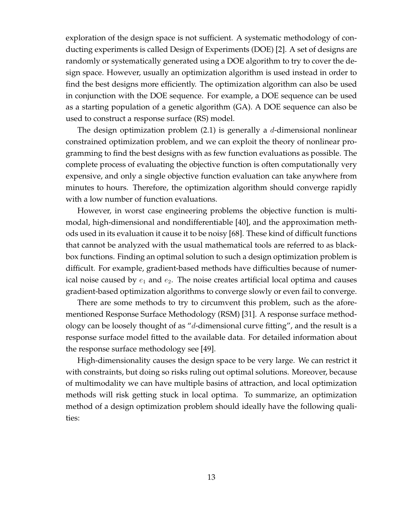exploration of the design space is not sufficient. A systematic methodology of conducting experiments is called Design of Experiments (DOE) [2]. A set of designs are randomly or systematically generated using a DOE algorithm to try to cover the design space. However, usually an optimization algorithm is used instead in order to find the best designs more efficiently. The optimization algorithm can also be used in conjunction with the DOE sequence. For example, a DOE sequence can be used as a starting population of a genetic algorithm (GA). A DOE sequence can also be used to construct a response surface (RS) model.

The design optimization problem  $(2.1)$  is generally a d-dimensional nonlinear constrained optimization problem, and we can exploit the theory of nonlinear programming to find the best designs with as few function evaluations as possible. The complete process of evaluating the objective function is often computationally very expensive, and only a single objective function evaluation can take anywhere from minutes to hours. Therefore, the optimization algorithm should converge rapidly with a low number of function evaluations.

However, in worst case engineering problems the objective function is multimodal, high-dimensional and nondifferentiable [40], and the approximation methods used in its evaluation it cause it to be noisy [68]. These kind of difficult functions that cannot be analyzed with the usual mathematical tools are referred to as blackbox functions. Finding an optimal solution to such a design optimization problem is difficult. For example, gradient-based methods have difficulties because of numerical noise caused by  $e_1$  and  $e_2$ . The noise creates artificial local optima and causes gradient-based optimization algorithms to converge slowly or even fail to converge.

There are some methods to try to circumvent this problem, such as the aforementioned Response Surface Methodology (RSM) [31]. A response surface methodology can be loosely thought of as "d-dimensional curve fitting", and the result is a response surface model fitted to the available data. For detailed information about the response surface methodology see [49].

High-dimensionality causes the design space to be very large. We can restrict it with constraints, but doing so risks ruling out optimal solutions. Moreover, because of multimodality we can have multiple basins of attraction, and local optimization methods will risk getting stuck in local optima. To summarize, an optimization method of a design optimization problem should ideally have the following qualities: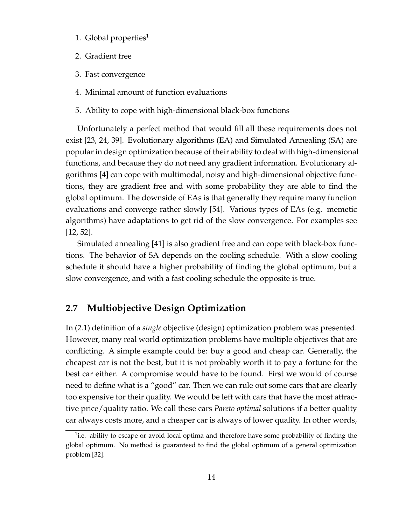- 1. Global properties $^1$
- 2. Gradient free
- 3. Fast convergence
- 4. Minimal amount of function evaluations
- 5. Ability to cope with high-dimensional black-box functions

Unfortunately a perfect method that would fill all these requirements does not exist [23, 24, 39]. Evolutionary algorithms (EA) and Simulated Annealing (SA) are popular in design optimization because of their ability to deal with high-dimensional functions, and because they do not need any gradient information. Evolutionary algorithms [4] can cope with multimodal, noisy and high-dimensional objective functions, they are gradient free and with some probability they are able to find the global optimum. The downside of EAs is that generally they require many function evaluations and converge rather slowly [54]. Various types of EAs (e.g. memetic algorithms) have adaptations to get rid of the slow convergence. For examples see [12, 52].

Simulated annealing [41] is also gradient free and can cope with black-box functions. The behavior of SA depends on the cooling schedule. With a slow cooling schedule it should have a higher probability of finding the global optimum, but a slow convergence, and with a fast cooling schedule the opposite is true.

## **2.7 Multiobjective Design Optimization**

In (2.1) definition of a *single* objective (design) optimization problem was presented. However, many real world optimization problems have multiple objectives that are conflicting. A simple example could be: buy a good and cheap car. Generally, the cheapest car is not the best, but it is not probably worth it to pay a fortune for the best car either. A compromise would have to be found. First we would of course need to define what is a "good" car. Then we can rule out some cars that are clearly too expensive for their quality. We would be left with cars that have the most attractive price/quality ratio. We call these cars *Pareto optimal* solutions if a better quality car always costs more, and a cheaper car is always of lower quality. In other words,

<sup>&</sup>lt;sup>1</sup>i.e. ability to escape or avoid local optima and therefore have some probability of finding the global optimum. No method is guaranteed to find the global optimum of a general optimization problem [32].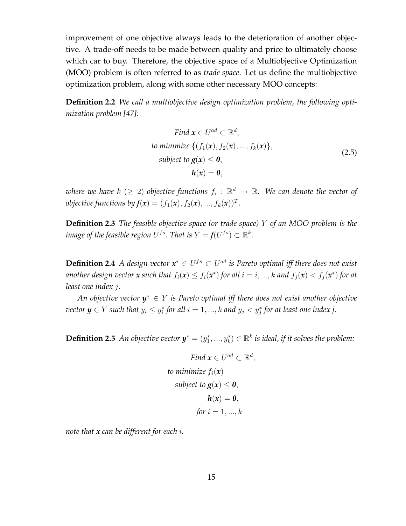improvement of one objective always leads to the deterioration of another objective. A trade-off needs to be made between quality and price to ultimately choose which car to buy. Therefore, the objective space of a Multiobjective Optimization (MOO) problem is often referred to as *trade space*. Let us define the multiobjective optimization problem, along with some other necessary MOO concepts:

**Definition 2.2** *We call a multiobjective design optimization problem, the following optimization problem [47]:*

Find 
$$
\mathbf{x} \in U^{ad} \subset \mathbb{R}^d
$$
,  
to minimize  $\{(f_1(\mathbf{x}), f_2(\mathbf{x}), ..., f_k(\mathbf{x})\}$ ,  
subject to  $\mathbf{g}(\mathbf{x}) \leq \mathbf{0}$ ,  
 $\mathbf{h}(\mathbf{x}) = \mathbf{0}$ , (2.5)

where we have  $k$   $(\geq 2)$  objective functions  $f_i$  :  $\mathbb{R}^d$   $\to$   $\mathbb{R}$ . We can denote the vector of *objective functions by*  $f(x) = (f_1(x), f_2(x), ..., f_k(x))^T$ *.* 

**Definition 2.3** *The feasible objective space (or trade space)* Y *of an MOO problem is the* image of the feasible region  $U^{fs}.$  That is  $Y = f(U^{fs}) \subset \mathbb{R}^k.$ 

**Definition 2.4** *A design vector*  $x^* \in U^{fs} \subset U^{ad}$  *is Pareto optimal iff there does not exist another design vector*  $x$  *such that*  $f_i(x) \le f_i(x^*)$  *for all*  $i = i, ..., k$  *and*  $f_j(x) < f_j(x^*)$  *for at least one index* j*.*

*An objective vector y* <sup>∗</sup> ∈ Y *is Pareto optimal iff there does not exist another objective vector*  $y \in Y$  *such that*  $y_i \leq y_i^*$  $\hat{i}$  for all  $i = 1, ..., k$  and  $y_j < y_j^*$  for at least one index j.

**Definition 2.5** An objective vector  $y^* = (y_1^*,..., y_k^*) \in \mathbb{R}^k$  is ideal, if it solves the problem:

$$
Find \mathbf{x} \in U^{ad} \subset \mathbb{R}^{d},
$$
  
to minimize  $f_i(\mathbf{x})$   
subject to  $\mathbf{g}(\mathbf{x}) \leq \mathbf{0}$ ,  
 $\mathbf{h}(\mathbf{x}) = \mathbf{0}$ ,  
for  $i = 1, ..., k$ 

*note that x can be different for each* i*.*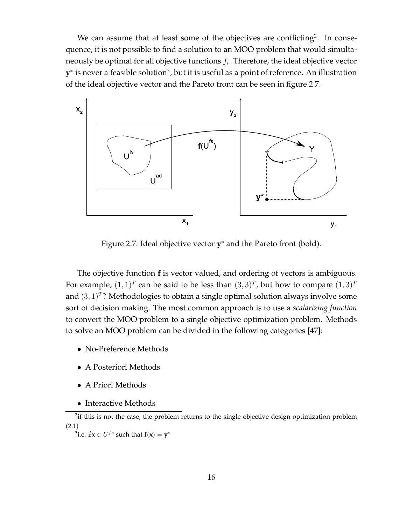We can assume that at least some of the objectives are conflicting<sup>2</sup>. In consequence, it is not possible to find a solution to an MOO problem that would simultaneously be optimal for all objective functions  $f_i.$  Therefore, the ideal objective vector  $\mathbf{y}^*$  is never a feasible solution $^3$ , but it is useful as a point of reference. An illustration of the ideal objective vector and the Pareto front can be seen in figure 2.7.



Figure 2.7: Ideal objective vector **y** <sup>∗</sup> and the Pareto front (bold).

The objective function **f** is vector valued, and ordering of vectors is ambiguous. For example,  $(1,1)^T$  can be said to be less than  $(3,3)^T$ , but how to compare  $(1,3)^T$ and  $(3,1)^T$ ? Methodologies to obtain a single optimal solution always involve some sort of decision making. The most common approach is to use a *scalarizing function* to convert the MOO problem to a single objective optimization problem. Methods to solve an MOO problem can be divided in the following categories [47]:

- No-Preference Methods
- A Posteriori Methods
- A Priori Methods
- Interactive Methods

 $2$ if this is not the case, the problem returns to the single objective design optimization problem (2.1)

 $^3$ i.e.  $\sharp \mathbf{x} \in U^{fs}$  such that  $\mathbf{f}(\mathbf{x}) = \mathbf{y}^*$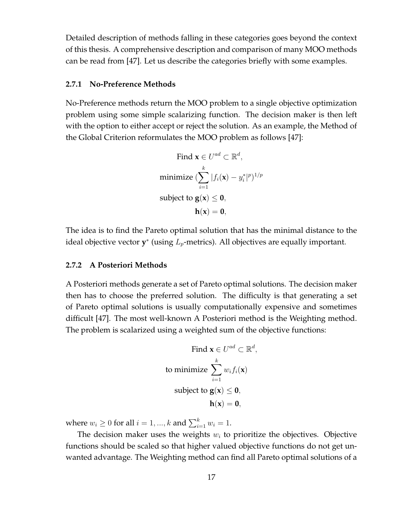Detailed description of methods falling in these categories goes beyond the context of this thesis. A comprehensive description and comparison of many MOO methods can be read from [47]. Let us describe the categories briefly with some examples.

#### **2.7.1 No-Preference Methods**

No-Preference methods return the MOO problem to a single objective optimization problem using some simple scalarizing function. The decision maker is then left with the option to either accept or reject the solution. As an example, the Method of the Global Criterion reformulates the MOO problem as follows [47]:

Find 
$$
\mathbf{x} \in U^{ad} \subset \mathbb{R}^d
$$
,  
minimize  $\left(\sum_{i=1}^k |f_i(\mathbf{x}) - y_i^*|^p\right)^{1/p}$   
subject to  $\mathbf{g}(\mathbf{x}) \leq \mathbf{0}$ ,  
 $\mathbf{h}(\mathbf{x}) = \mathbf{0}$ ,

The idea is to find the Pareto optimal solution that has the minimal distance to the ideal objective vector  $y^*$  (using  $L_p$ -metrics). All objectives are equally important.

#### **2.7.2 A Posteriori Methods**

A Posteriori methods generate a set of Pareto optimal solutions. The decision maker then has to choose the preferred solution. The difficulty is that generating a set of Pareto optimal solutions is usually computationally expensive and sometimes difficult [47]. The most well-known A Posteriori method is the Weighting method. The problem is scalarized using a weighted sum of the objective functions:

Find 
$$
\mathbf{x} \in U^{ad} \subset \mathbb{R}^d
$$
,  
to minimize  $\sum_{i=1}^k w_i f_i(\mathbf{x})$   
subject to  $\mathbf{g}(\mathbf{x}) \leq \mathbf{0}$ ,  
 $\mathbf{h}(\mathbf{x}) = \mathbf{0}$ ,

where  $w_i \geq 0$  for all  $i = 1, ..., k$  and  $\sum_{i=1}^{k} w_i = 1$ .

The decision maker uses the weights  $w_i$  to prioritize the objectives. Objective functions should be scaled so that higher valued objective functions do not get unwanted advantage. The Weighting method can find all Pareto optimal solutions of a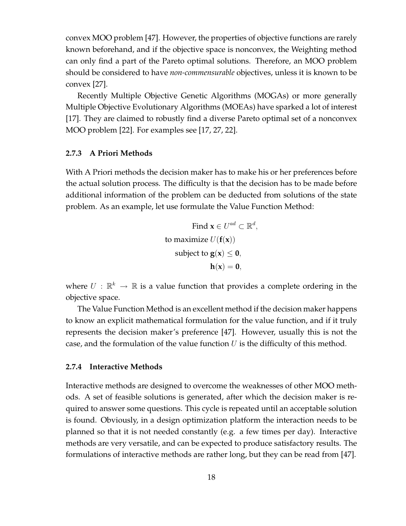convex MOO problem [47]. However, the properties of objective functions are rarely known beforehand, and if the objective space is nonconvex, the Weighting method can only find a part of the Pareto optimal solutions. Therefore, an MOO problem should be considered to have *non-commensurable* objectives, unless it is known to be convex [27].

Recently Multiple Objective Genetic Algorithms (MOGAs) or more generally Multiple Objective Evolutionary Algorithms (MOEAs) have sparked a lot of interest [17]. They are claimed to robustly find a diverse Pareto optimal set of a nonconvex MOO problem [22]. For examples see [17, 27, 22].

#### **2.7.3 A Priori Methods**

With A Priori methods the decision maker has to make his or her preferences before the actual solution process. The difficulty is that the decision has to be made before additional information of the problem can be deducted from solutions of the state problem. As an example, let use formulate the Value Function Method:

> Find  $\mathbf{x} \in U^{ad} \subset \mathbb{R}^d$ , to maximize  $U(f(\mathbf{x}))$ subject to  $g(x) < 0$ ,  $h(x) = 0$ ,

where  $U\,:\,\mathbb{R}^k\,\rightarrow\,\mathbb{R}$  is a value function that provides a complete ordering in the objective space.

The Value Function Method is an excellent method if the decision maker happens to know an explicit mathematical formulation for the value function, and if it truly represents the decision maker's preference [47]. However, usually this is not the case, and the formulation of the value function  $U$  is the difficulty of this method.

#### **2.7.4 Interactive Methods**

Interactive methods are designed to overcome the weaknesses of other MOO methods. A set of feasible solutions is generated, after which the decision maker is required to answer some questions. This cycle is repeated until an acceptable solution is found. Obviously, in a design optimization platform the interaction needs to be planned so that it is not needed constantly (e.g. a few times per day). Interactive methods are very versatile, and can be expected to produce satisfactory results. The formulations of interactive methods are rather long, but they can be read from [47].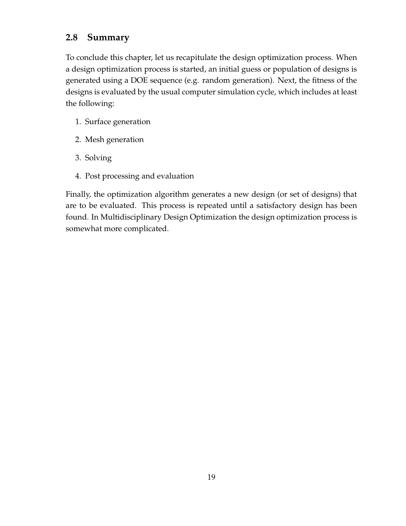# **2.8 Summary**

To conclude this chapter, let us recapitulate the design optimization process. When a design optimization process is started, an initial guess or population of designs is generated using a DOE sequence (e.g. random generation). Next, the fitness of the designs is evaluated by the usual computer simulation cycle, which includes at least the following:

- 1. Surface generation
- 2. Mesh generation
- 3. Solving
- 4. Post processing and evaluation

Finally, the optimization algorithm generates a new design (or set of designs) that are to be evaluated. This process is repeated until a satisfactory design has been found. In Multidisciplinary Design Optimization the design optimization process is somewhat more complicated.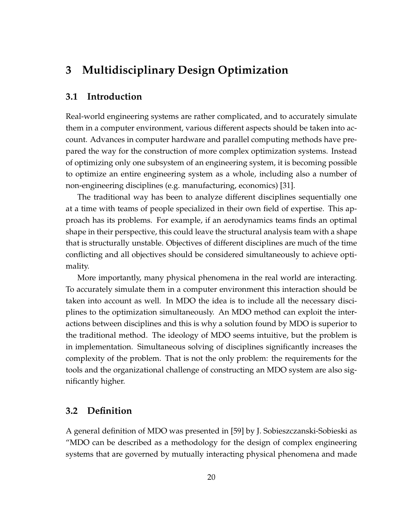# **3 Multidisciplinary Design Optimization**

## **3.1 Introduction**

Real-world engineering systems are rather complicated, and to accurately simulate them in a computer environment, various different aspects should be taken into account. Advances in computer hardware and parallel computing methods have prepared the way for the construction of more complex optimization systems. Instead of optimizing only one subsystem of an engineering system, it is becoming possible to optimize an entire engineering system as a whole, including also a number of non-engineering disciplines (e.g. manufacturing, economics) [31].

The traditional way has been to analyze different disciplines sequentially one at a time with teams of people specialized in their own field of expertise. This approach has its problems. For example, if an aerodynamics teams finds an optimal shape in their perspective, this could leave the structural analysis team with a shape that is structurally unstable. Objectives of different disciplines are much of the time conflicting and all objectives should be considered simultaneously to achieve optimality.

More importantly, many physical phenomena in the real world are interacting. To accurately simulate them in a computer environment this interaction should be taken into account as well. In MDO the idea is to include all the necessary disciplines to the optimization simultaneously. An MDO method can exploit the interactions between disciplines and this is why a solution found by MDO is superior to the traditional method. The ideology of MDO seems intuitive, but the problem is in implementation. Simultaneous solving of disciplines significantly increases the complexity of the problem. That is not the only problem: the requirements for the tools and the organizational challenge of constructing an MDO system are also significantly higher.

## **3.2 Definition**

A general definition of MDO was presented in [59] by J. Sobieszczanski-Sobieski as "MDO can be described as a methodology for the design of complex engineering systems that are governed by mutually interacting physical phenomena and made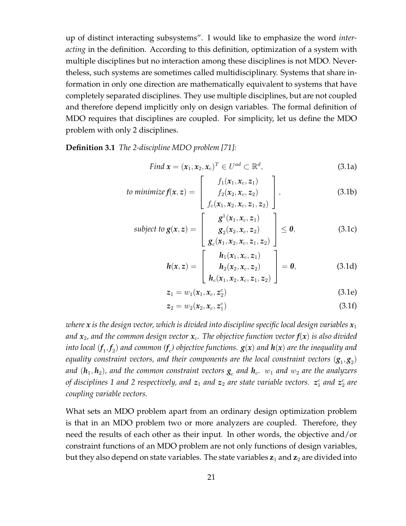up of distinct interacting subsystems". I would like to emphasize the word *interacting* in the definition. According to this definition, optimization of a system with multiple disciplines but no interaction among these disciplines is not MDO. Nevertheless, such systems are sometimes called multidisciplinary. Systems that share information in only one direction are mathematically equivalent to systems that have completely separated disciplines. They use multiple disciplines, but are not coupled and therefore depend implicitly only on design variables. The formal definition of MDO requires that disciplines are coupled. For simplicity, let us define the MDO problem with only 2 disciplines.

**Definition 3.1** *The 2-discipline MDO problem [71]:*

Find 
$$
\mathbf{x} = (\mathbf{x}_1, \mathbf{x}_2, \mathbf{x}_c)^T \in U^{ad} \subset \mathbb{R}^d
$$
,  
\n
$$
\begin{array}{ccc}\n\mathbf{C} & \mathbf{C} & \mathbf{A} \\
\mathbf{C} & \mathbf{A} & \mathbf{B}\n\end{array}
$$
\n(3.1a)

to minimize 
$$
f(x, z) = \begin{bmatrix} f_1(x_1, x_c, z_1) \\ f_2(x_2, x_c, z_2) \\ f_c(x_1, x_2, x_c, z_1, z_2) \end{bmatrix}
$$
, (3.1b)

subject to 
$$
\mathbf{g}(x, z) = \begin{bmatrix} g^{1}(x_1, x_c, z_1) \\ g_{2}(x_2, x_c, z_2) \\ g_{c}(x_1, x_2, x_c, z_1, z_2) \end{bmatrix} \leq \mathbf{0},
$$
 (3.1c)

$$
h(x, z) = \begin{bmatrix} h_1(x_1, x_c, z_1) \\ h_2(x_2, x_c, z_2) \\ h_c(x_1, x_2, x_c, z_1, z_2) \end{bmatrix} = 0,
$$
 (3.1d)

$$
z_1 = w_1(x_1, x_c, z_2^c)
$$
 (3.1e)

$$
z_2 = w_2(x_2, x_c, z_1^c) \tag{3.1f}
$$

*where* x is the design vector, which is divided into discipline specific local design variables  $x_1$ *and*  $x_2$ , and the common design vector  $x_c$ . The objective function vector  $f(x)$  is also divided into local  $(f_1,f_2)$  and common  $(f_c)$  objective functions.  $\bm{g}(\bm{x})$  and  $\bm{h}(\bm{x})$  are the inequality and equality constraint vectors, and their components are the local constraint vectors  $(\boldsymbol{g}_1,\boldsymbol{g}_2)$ *and*  $(\bm{h}_1, \bm{h}_2)$ *, and the common constraint vectors*  $\bm{g}_c$  *and*  $\bm{h}_c$ *.*  $w_1$  *and*  $w_2$  *are the analyzers of disciplines 1 and 2 respectively, and*  $\boldsymbol{z}_1$  *and*  $\boldsymbol{z}_2$  *are state variable vectors.*  $\boldsymbol{z}^c_1$  *and*  $\boldsymbol{z}^c_2$  *are coupling variable vectors.*

What sets an MDO problem apart from an ordinary design optimization problem is that in an MDO problem two or more analyzers are coupled. Therefore, they need the results of each other as their input. In other words, the objective and/or constraint functions of an MDO problem are not only functions of design variables, but they also depend on state variables. The state variables  $z_1$  and  $z_2$  are divided into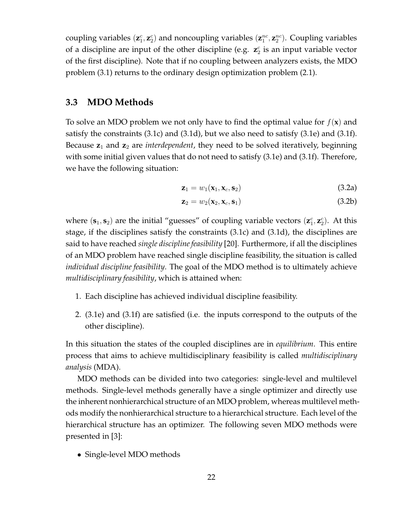coupling variables  $(\mathbf{z}_1^c, \mathbf{z}_2^c)$  and noncoupling variables  $(\mathbf{z}_1^{nc}, \mathbf{z}_2^{nc})$ . Coupling variables of a discipline are input of the other discipline (e.g.  $\mathbf{z}_2^c$  is an input variable vector of the first discipline). Note that if no coupling between analyzers exists, the MDO problem (3.1) returns to the ordinary design optimization problem (2.1).

### **3.3 MDO Methods**

To solve an MDO problem we not only have to find the optimal value for  $f(\mathbf{x})$  and satisfy the constraints (3.1c) and (3.1d), but we also need to satisfy (3.1e) and (3.1f). Because **z**<sup>1</sup> and **z**<sup>2</sup> are *interdependent*, they need to be solved iteratively, beginning with some initial given values that do not need to satisfy (3.1e) and (3.1f). Therefore, we have the following situation:

$$
\mathbf{z}_1 = w_1(\mathbf{x}_1, \mathbf{x}_c, \mathbf{s}_2) \tag{3.2a}
$$

$$
\mathbf{z}_2 = w_2(\mathbf{x}_2, \mathbf{x}_c, \mathbf{s}_1) \tag{3.2b}
$$

where  $({\bf s}_1, {\bf s}_2)$  are the initial "guesses" of coupling variable vectors  $({\bf z}_1^c, {\bf z}_2^c)$ . At this stage, if the disciplines satisfy the constraints (3.1c) and (3.1d), the disciplines are said to have reached *single discipline feasibility* [20]. Furthermore, if all the disciplines of an MDO problem have reached single discipline feasibility, the situation is called *individual discipline feasibility*. The goal of the MDO method is to ultimately achieve *multidisciplinary feasibility*, which is attained when:

- 1. Each discipline has achieved individual discipline feasibility.
- 2. (3.1e) and (3.1f) are satisfied (i.e. the inputs correspond to the outputs of the other discipline).

In this situation the states of the coupled disciplines are in *equilibrium*. This entire process that aims to achieve multidisciplinary feasibility is called *multidisciplinary analysis* (MDA).

MDO methods can be divided into two categories: single-level and multilevel methods. Single-level methods generally have a single optimizer and directly use the inherent nonhierarchical structure of an MDO problem, whereas multilevel methods modify the nonhierarchical structure to a hierarchical structure. Each level of the hierarchical structure has an optimizer. The following seven MDO methods were presented in [3]:

• Single-level MDO methods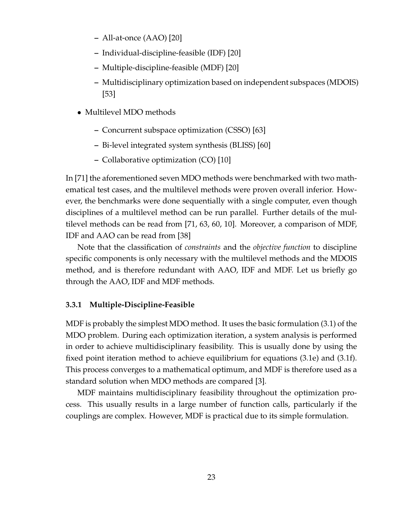- **–** All-at-once (AAO) [20]
- **–** Individual-discipline-feasible (IDF) [20]
- **–** Multiple-discipline-feasible (MDF) [20]
- **–** Multidisciplinary optimization based on independent subspaces (MDOIS) [53]
- Multilevel MDO methods
	- **–** Concurrent subspace optimization (CSSO) [63]
	- **–** Bi-level integrated system synthesis (BLISS) [60]
	- **–** Collaborative optimization (CO) [10]

In [71] the aforementioned seven MDO methods were benchmarked with two mathematical test cases, and the multilevel methods were proven overall inferior. However, the benchmarks were done sequentially with a single computer, even though disciplines of a multilevel method can be run parallel. Further details of the multilevel methods can be read from [71, 63, 60, 10]. Moreover, a comparison of MDF, IDF and AAO can be read from [38]

Note that the classification of *constraints* and the *objective function* to discipline specific components is only necessary with the multilevel methods and the MDOIS method, and is therefore redundant with AAO, IDF and MDF. Let us briefly go through the AAO, IDF and MDF methods.

#### **3.3.1 Multiple-Discipline-Feasible**

MDF is probably the simplest MDO method. It uses the basic formulation (3.1) of the MDO problem. During each optimization iteration, a system analysis is performed in order to achieve multidisciplinary feasibility. This is usually done by using the fixed point iteration method to achieve equilibrium for equations (3.1e) and (3.1f). This process converges to a mathematical optimum, and MDF is therefore used as a standard solution when MDO methods are compared [3].

MDF maintains multidisciplinary feasibility throughout the optimization process. This usually results in a large number of function calls, particularly if the couplings are complex. However, MDF is practical due to its simple formulation.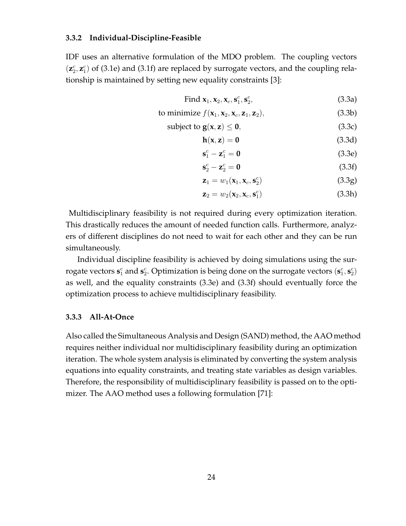#### **3.3.2 Individual-Discipline-Feasible**

IDF uses an alternative formulation of the MDO problem. The coupling vectors  $(z_2^c, z_1^c)$  of (3.1e) and (3.1f) are replaced by surrogate vectors, and the coupling relationship is maintained by setting new equality constraints [3]:

Find 
$$
\mathbf{x}_1, \mathbf{x}_2, \mathbf{x}_c, \mathbf{s}_1^c, \mathbf{s}_2^c,
$$
 (3.3a)

to minimize 
$$
f(\mathbf{x}_1, \mathbf{x}_2, \mathbf{x}_c, \mathbf{z}_1, \mathbf{z}_2),
$$
 (3.3b)

$$
subject to g(x, z) \leq 0,
$$
\n(3.3c)

$$
h(x, z) = 0 \tag{3.3d}
$$

$$
\mathbf{s}_1^c - \mathbf{z}_1^c = \mathbf{0} \tag{3.3e}
$$

$$
\mathbf{s}_2^c - \mathbf{z}_2^c = \mathbf{0} \tag{3.3f}
$$

$$
\mathbf{z}_1 = w_1(\mathbf{x}_1, \mathbf{x}_c, \mathbf{s}_2^c) \tag{3.3g}
$$

$$
\mathbf{z}_2 = w_2(\mathbf{x}_2, \mathbf{x}_c, \mathbf{s}_1^c) \tag{3.3h}
$$

Multidisciplinary feasibility is not required during every optimization iteration. This drastically reduces the amount of needed function calls. Furthermore, analyzers of different disciplines do not need to wait for each other and they can be run simultaneously.

Individual discipline feasibility is achieved by doing simulations using the surrogate vectors  $\mathbf{s}_1^c$  and  $\mathbf{s}_2^c$ . Optimization is being done on the surrogate vectors  $(\mathbf{s}_1^c, \mathbf{s}_2^c)$ as well, and the equality constraints (3.3e) and (3.3f) should eventually force the optimization process to achieve multidisciplinary feasibility.

#### **3.3.3 All-At-Once**

Also called the Simultaneous Analysis and Design (SAND) method, the AAO method requires neither individual nor multidisciplinary feasibility during an optimization iteration. The whole system analysis is eliminated by converting the system analysis equations into equality constraints, and treating state variables as design variables. Therefore, the responsibility of multidisciplinary feasibility is passed on to the optimizer. The AAO method uses a following formulation [71]: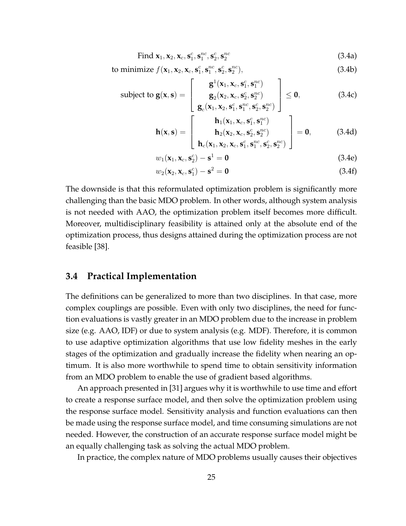Find 
$$
\mathbf{x}_1, \mathbf{x}_2, \mathbf{x}_c, \mathbf{s}_1^c, \mathbf{s}_1^{nc}, \mathbf{s}_2^c, \mathbf{s}_2^{nc}
$$
 (3.4a)

to minimize 
$$
f(\mathbf{x}_1, \mathbf{x}_2, \mathbf{x}_c, \mathbf{s}_1^c, \mathbf{s}_1^{nc}, \mathbf{s}_2^c, \mathbf{s}_2^{nc}),
$$
 (3.4b)

subject to 
$$
\mathbf{g}(\mathbf{x}, \mathbf{s}) = \begin{bmatrix} \mathbf{g}^{1}(\mathbf{x}_{1}, \mathbf{x}_{c}, \mathbf{s}_{1}^{c}, \mathbf{s}_{1}^{nc}) \\ \mathbf{g}_{2}(\mathbf{x}_{2}, \mathbf{x}_{c}, \mathbf{s}_{2}^{c}, \mathbf{s}_{2}^{nc}) \\ \mathbf{g}_{c}(\mathbf{x}_{1}, \mathbf{x}_{2}, \mathbf{s}_{1}^{c}, \mathbf{s}_{1}^{nc}, \mathbf{s}_{2}^{c}, \mathbf{s}_{2}^{nc}) \end{bmatrix} \leq \mathbf{0},
$$
(3.4c)

$$
\mathbf{h}(\mathbf{x}, \mathbf{s}) = \begin{bmatrix} \mathbf{h}_1(\mathbf{x}_1, \mathbf{x}_c, \mathbf{s}_1^c, \mathbf{s}_1^{nc}) \\ \mathbf{h}_2(\mathbf{x}_2, \mathbf{x}_c, \mathbf{s}_2^c, \mathbf{s}_2^{nc}) \\ \mathbf{h}_c(\mathbf{x}_1, \mathbf{x}_2, \mathbf{x}_c, \mathbf{s}_1^c, \mathbf{s}_1^{nc}, \mathbf{s}_2^c, \mathbf{s}_2^{nc}) \end{bmatrix} = \mathbf{0},
$$
 (3.4d)

$$
w_1(\mathbf{x}_1, \mathbf{x}_c, \mathbf{s}_2^c) - \mathbf{s}^1 = \mathbf{0}
$$
 (3.4e)

$$
w_2(\mathbf{x}_2, \mathbf{x}_c, \mathbf{s}_1^c) - \mathbf{s}^2 = \mathbf{0}
$$
\n(3.4f)

The downside is that this reformulated optimization problem is significantly more challenging than the basic MDO problem. In other words, although system analysis is not needed with AAO, the optimization problem itself becomes more difficult. Moreover, multidisciplinary feasibility is attained only at the absolute end of the optimization process, thus designs attained during the optimization process are not feasible [38].

### **3.4 Practical Implementation**

The definitions can be generalized to more than two disciplines. In that case, more complex couplings are possible. Even with only two disciplines, the need for function evaluations is vastly greater in an MDO problem due to the increase in problem size (e.g. AAO, IDF) or due to system analysis (e.g. MDF). Therefore, it is common to use adaptive optimization algorithms that use low fidelity meshes in the early stages of the optimization and gradually increase the fidelity when nearing an optimum. It is also more worthwhile to spend time to obtain sensitivity information from an MDO problem to enable the use of gradient based algorithms.

An approach presented in [31] argues why it is worthwhile to use time and effort to create a response surface model, and then solve the optimization problem using the response surface model. Sensitivity analysis and function evaluations can then be made using the response surface model, and time consuming simulations are not needed. However, the construction of an accurate response surface model might be an equally challenging task as solving the actual MDO problem.

In practice, the complex nature of MDO problems usually causes their objectives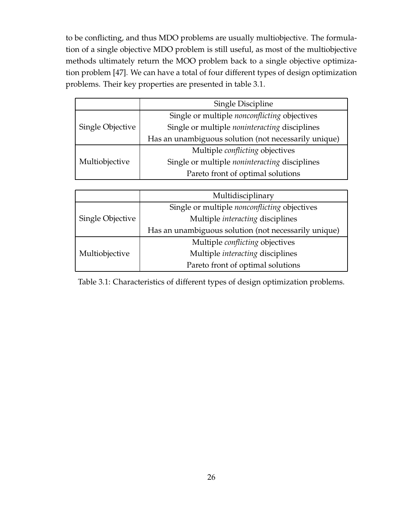to be conflicting, and thus MDO problems are usually multiobjective. The formulation of a single objective MDO problem is still useful, as most of the multiobjective methods ultimately return the MOO problem back to a single objective optimization problem [47]. We can have a total of four different types of design optimization problems. Their key properties are presented in table 3.1.

|                  | <b>Single Discipline</b>                             |  |  |  |  |
|------------------|------------------------------------------------------|--|--|--|--|
|                  | Single or multiple nonconflicting objectives         |  |  |  |  |
| Single Objective | Single or multiple <i>noninteracting</i> disciplines |  |  |  |  |
|                  | Has an unambiguous solution (not necessarily unique) |  |  |  |  |
|                  | Multiple <i>conflicting</i> objectives               |  |  |  |  |
| Multiobjective   | Single or multiple <i>noninteracting</i> disciplines |  |  |  |  |
|                  | Pareto front of optimal solutions                    |  |  |  |  |

|                  | Multidisciplinary                                    |  |  |  |  |
|------------------|------------------------------------------------------|--|--|--|--|
|                  | Single or multiple <i>nonconflicting</i> objectives  |  |  |  |  |
| Single Objective | Multiple interacting disciplines                     |  |  |  |  |
|                  | Has an unambiguous solution (not necessarily unique) |  |  |  |  |
|                  | Multiple <i>conflicting</i> objectives               |  |  |  |  |
| Multiobjective   | Multiple interacting disciplines                     |  |  |  |  |
|                  | Pareto front of optimal solutions                    |  |  |  |  |

Table 3.1: Characteristics of different types of design optimization problems.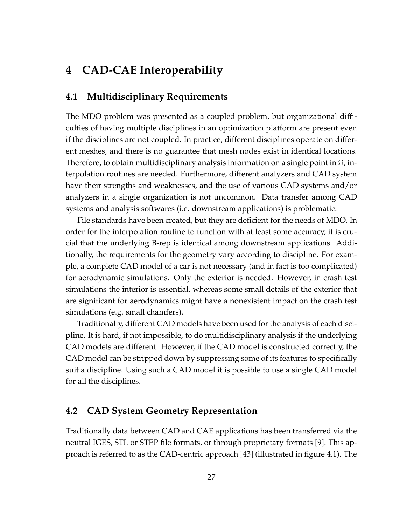# **4 CAD-CAE Interoperability**

## **4.1 Multidisciplinary Requirements**

The MDO problem was presented as a coupled problem, but organizational difficulties of having multiple disciplines in an optimization platform are present even if the disciplines are not coupled. In practice, different disciplines operate on different meshes, and there is no guarantee that mesh nodes exist in identical locations. Therefore, to obtain multidisciplinary analysis information on a single point in Ω, interpolation routines are needed. Furthermore, different analyzers and CAD system have their strengths and weaknesses, and the use of various CAD systems and/or analyzers in a single organization is not uncommon. Data transfer among CAD systems and analysis softwares (i.e. downstream applications) is problematic.

File standards have been created, but they are deficient for the needs of MDO. In order for the interpolation routine to function with at least some accuracy, it is crucial that the underlying B-rep is identical among downstream applications. Additionally, the requirements for the geometry vary according to discipline. For example, a complete CAD model of a car is not necessary (and in fact is too complicated) for aerodynamic simulations. Only the exterior is needed. However, in crash test simulations the interior is essential, whereas some small details of the exterior that are significant for aerodynamics might have a nonexistent impact on the crash test simulations (e.g. small chamfers).

Traditionally, different CAD models have been used for the analysis of each discipline. It is hard, if not impossible, to do multidisciplinary analysis if the underlying CAD models are different. However, if the CAD model is constructed correctly, the CAD model can be stripped down by suppressing some of its features to specifically suit a discipline. Using such a CAD model it is possible to use a single CAD model for all the disciplines.

## **4.2 CAD System Geometry Representation**

Traditionally data between CAD and CAE applications has been transferred via the neutral IGES, STL or STEP file formats, or through proprietary formats [9]. This approach is referred to as the CAD-centric approach [43] (illustrated in figure 4.1). The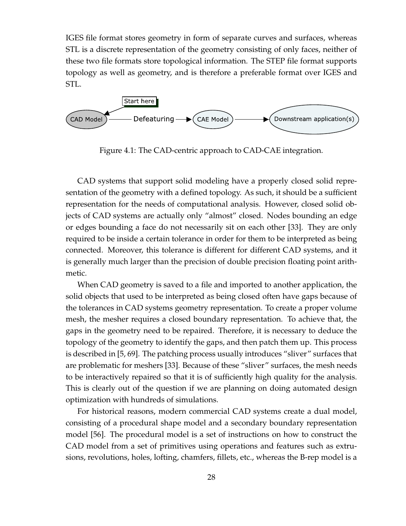IGES file format stores geometry in form of separate curves and surfaces, whereas STL is a discrete representation of the geometry consisting of only faces, neither of these two file formats store topological information. The STEP file format supports topology as well as geometry, and is therefore a preferable format over IGES and STL.



Figure 4.1: The CAD-centric approach to CAD-CAE integration.

CAD systems that support solid modeling have a properly closed solid representation of the geometry with a defined topology. As such, it should be a sufficient representation for the needs of computational analysis. However, closed solid objects of CAD systems are actually only "almost" closed. Nodes bounding an edge or edges bounding a face do not necessarily sit on each other [33]. They are only required to be inside a certain tolerance in order for them to be interpreted as being connected. Moreover, this tolerance is different for different CAD systems, and it is generally much larger than the precision of double precision floating point arithmetic.

When CAD geometry is saved to a file and imported to another application, the solid objects that used to be interpreted as being closed often have gaps because of the tolerances in CAD systems geometry representation. To create a proper volume mesh, the mesher requires a closed boundary representation. To achieve that, the gaps in the geometry need to be repaired. Therefore, it is necessary to deduce the topology of the geometry to identify the gaps, and then patch them up. This process is described in [5, 69]. The patching process usually introduces "sliver" surfaces that are problematic for meshers [33]. Because of these "sliver" surfaces, the mesh needs to be interactively repaired so that it is of sufficiently high quality for the analysis. This is clearly out of the question if we are planning on doing automated design optimization with hundreds of simulations.

For historical reasons, modern commercial CAD systems create a dual model, consisting of a procedural shape model and a secondary boundary representation model [56]. The procedural model is a set of instructions on how to construct the CAD model from a set of primitives using operations and features such as extrusions, revolutions, holes, lofting, chamfers, fillets, etc., whereas the B-rep model is a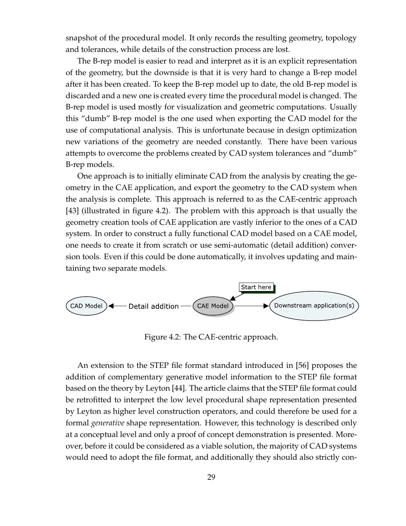snapshot of the procedural model. It only records the resulting geometry, topology and tolerances, while details of the construction process are lost.

The B-rep model is easier to read and interpret as it is an explicit representation of the geometry, but the downside is that it is very hard to change a B-rep model after it has been created. To keep the B-rep model up to date, the old B-rep model is discarded and a new one is created every time the procedural model is changed. The B-rep model is used mostly for visualization and geometric computations. Usually this "dumb" B-rep model is the one used when exporting the CAD model for the use of computational analysis. This is unfortunate because in design optimization new variations of the geometry are needed constantly. There have been various attempts to overcome the problems created by CAD system tolerances and "dumb" B-rep models.

One approach is to initially eliminate CAD from the analysis by creating the geometry in the CAE application, and export the geometry to the CAD system when the analysis is complete. This approach is referred to as the CAE-centric approach [43] (illustrated in figure 4.2). The problem with this approach is that usually the geometry creation tools of CAE application are vastly inferior to the ones of a CAD system. In order to construct a fully functional CAD model based on a CAE model, one needs to create it from scratch or use semi-automatic (detail addition) conversion tools. Even if this could be done automatically, it involves updating and maintaining two separate models.



Figure 4.2: The CAE-centric approach.

An extension to the STEP file format standard introduced in [56] proposes the addition of complementary generative model information to the STEP file format based on the theory by Leyton [44]. The article claims that the STEP file format could be retrofitted to interpret the low level procedural shape representation presented by Leyton as higher level construction operators, and could therefore be used for a formal *generative* shape representation. However, this technology is described only at a conceptual level and only a proof of concept demonstration is presented. Moreover, before it could be considered as a viable solution, the majority of CAD systems would need to adopt the file format, and additionally they should also strictly con-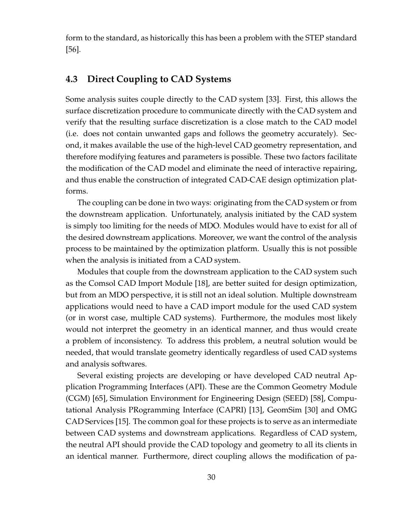form to the standard, as historically this has been a problem with the STEP standard [56].

# **4.3 Direct Coupling to CAD Systems**

Some analysis suites couple directly to the CAD system [33]. First, this allows the surface discretization procedure to communicate directly with the CAD system and verify that the resulting surface discretization is a close match to the CAD model (i.e. does not contain unwanted gaps and follows the geometry accurately). Second, it makes available the use of the high-level CAD geometry representation, and therefore modifying features and parameters is possible. These two factors facilitate the modification of the CAD model and eliminate the need of interactive repairing, and thus enable the construction of integrated CAD-CAE design optimization platforms.

The coupling can be done in two ways: originating from the CAD system or from the downstream application. Unfortunately, analysis initiated by the CAD system is simply too limiting for the needs of MDO. Modules would have to exist for all of the desired downstream applications. Moreover, we want the control of the analysis process to be maintained by the optimization platform. Usually this is not possible when the analysis is initiated from a CAD system.

Modules that couple from the downstream application to the CAD system such as the Comsol CAD Import Module [18], are better suited for design optimization, but from an MDO perspective, it is still not an ideal solution. Multiple downstream applications would need to have a CAD import module for the used CAD system (or in worst case, multiple CAD systems). Furthermore, the modules most likely would not interpret the geometry in an identical manner, and thus would create a problem of inconsistency. To address this problem, a neutral solution would be needed, that would translate geometry identically regardless of used CAD systems and analysis softwares.

Several existing projects are developing or have developed CAD neutral Application Programming Interfaces (API). These are the Common Geometry Module (CGM) [65], Simulation Environment for Engineering Design (SEED) [58], Computational Analysis PRogramming Interface (CAPRI) [13], GeomSim [30] and OMG CAD Services [15]. The common goal for these projects is to serve as an intermediate between CAD systems and downstream applications. Regardless of CAD system, the neutral API should provide the CAD topology and geometry to all its clients in an identical manner. Furthermore, direct coupling allows the modification of pa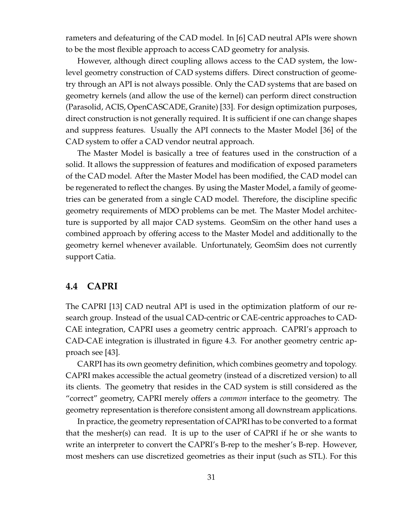rameters and defeaturing of the CAD model. In [6] CAD neutral APIs were shown to be the most flexible approach to access CAD geometry for analysis.

However, although direct coupling allows access to the CAD system, the lowlevel geometry construction of CAD systems differs. Direct construction of geometry through an API is not always possible. Only the CAD systems that are based on geometry kernels (and allow the use of the kernel) can perform direct construction (Parasolid, ACIS, OpenCASCADE, Granite) [33]. For design optimization purposes, direct construction is not generally required. It is sufficient if one can change shapes and suppress features. Usually the API connects to the Master Model [36] of the CAD system to offer a CAD vendor neutral approach.

The Master Model is basically a tree of features used in the construction of a solid. It allows the suppression of features and modification of exposed parameters of the CAD model. After the Master Model has been modified, the CAD model can be regenerated to reflect the changes. By using the Master Model, a family of geometries can be generated from a single CAD model. Therefore, the discipline specific geometry requirements of MDO problems can be met. The Master Model architecture is supported by all major CAD systems. GeomSim on the other hand uses a combined approach by offering access to the Master Model and additionally to the geometry kernel whenever available. Unfortunately, GeomSim does not currently support Catia.

### **4.4 CAPRI**

The CAPRI [13] CAD neutral API is used in the optimization platform of our research group. Instead of the usual CAD-centric or CAE-centric approaches to CAD-CAE integration, CAPRI uses a geometry centric approach. CAPRI's approach to CAD-CAE integration is illustrated in figure 4.3. For another geometry centric approach see [43].

CARPI has its own geometry definition, which combines geometry and topology. CAPRI makes accessible the actual geometry (instead of a discretized version) to all its clients. The geometry that resides in the CAD system is still considered as the "correct" geometry, CAPRI merely offers a *common* interface to the geometry. The geometry representation is therefore consistent among all downstream applications.

In practice, the geometry representation of CAPRI has to be converted to a format that the mesher(s) can read. It is up to the user of CAPRI if he or she wants to write an interpreter to convert the CAPRI's B-rep to the mesher's B-rep. However, most meshers can use discretized geometries as their input (such as STL). For this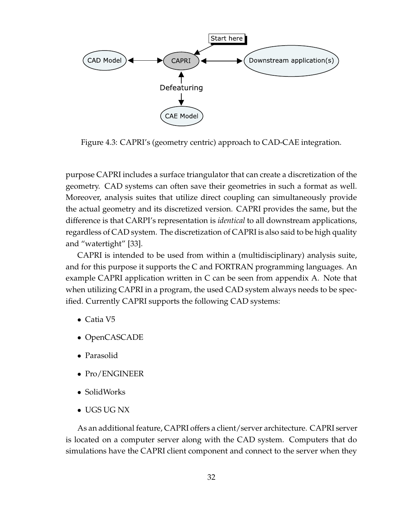

Figure 4.3: CAPRI's (geometry centric) approach to CAD-CAE integration.

purpose CAPRI includes a surface triangulator that can create a discretization of the geometry. CAD systems can often save their geometries in such a format as well. Moreover, analysis suites that utilize direct coupling can simultaneously provide the actual geometry and its discretized version. CAPRI provides the same, but the difference is that CARPI's representation is *identical* to all downstream applications, regardless of CAD system. The discretization of CAPRI is also said to be high quality and "watertight" [33].

CAPRI is intended to be used from within a (multidisciplinary) analysis suite, and for this purpose it supports the C and FORTRAN programming languages. An example CAPRI application written in C can be seen from appendix A. Note that when utilizing CAPRI in a program, the used CAD system always needs to be specified. Currently CAPRI supports the following CAD systems:

- Catia V5
- OpenCASCADE
- Parasolid
- Pro/ENGINEER
- SolidWorks
- UGS UG NX

As an additional feature, CAPRI offers a client/server architecture. CAPRI server is located on a computer server along with the CAD system. Computers that do simulations have the CAPRI client component and connect to the server when they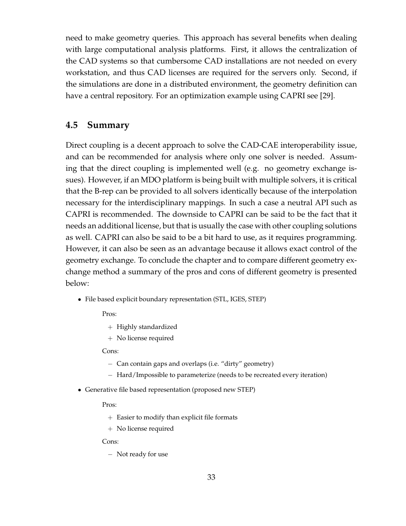need to make geometry queries. This approach has several benefits when dealing with large computational analysis platforms. First, it allows the centralization of the CAD systems so that cumbersome CAD installations are not needed on every workstation, and thus CAD licenses are required for the servers only. Second, if the simulations are done in a distributed environment, the geometry definition can have a central repository. For an optimization example using CAPRI see [29].

## **4.5 Summary**

Direct coupling is a decent approach to solve the CAD-CAE interoperability issue, and can be recommended for analysis where only one solver is needed. Assuming that the direct coupling is implemented well (e.g. no geometry exchange issues). However, if an MDO platform is being built with multiple solvers, it is critical that the B-rep can be provided to all solvers identically because of the interpolation necessary for the interdisciplinary mappings. In such a case a neutral API such as CAPRI is recommended. The downside to CAPRI can be said to be the fact that it needs an additional license, but that is usually the case with other coupling solutions as well. CAPRI can also be said to be a bit hard to use, as it requires programming. However, it can also be seen as an advantage because it allows exact control of the geometry exchange. To conclude the chapter and to compare different geometry exchange method a summary of the pros and cons of different geometry is presented below:

• File based explicit boundary representation (STL, IGES, STEP)

Pros:

- + Highly standardized
- + No license required

#### Cons:

- − Can contain gaps and overlaps (i.e. "dirty" geometry)
- − Hard/Impossible to parameterize (needs to be recreated every iteration)
- Generative file based representation (proposed new STEP)

Pros:

- + Easier to modify than explicit file formats
- + No license required

Cons:

− Not ready for use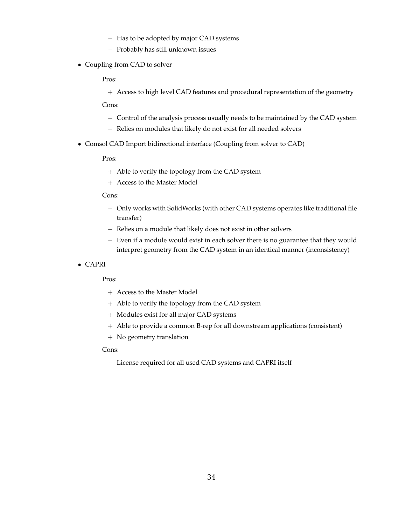- − Has to be adopted by major CAD systems
- − Probably has still unknown issues
- Coupling from CAD to solver

Pros:

+ Access to high level CAD features and procedural representation of the geometry

Cons:

- − Control of the analysis process usually needs to be maintained by the CAD system
- − Relies on modules that likely do not exist for all needed solvers
- Comsol CAD Import bidirectional interface (Coupling from solver to CAD)

Pros:

- + Able to verify the topology from the CAD system
- + Access to the Master Model

#### Cons:

- − Only works with SolidWorks (with other CAD systems operates like traditional file transfer)
- − Relies on a module that likely does not exist in other solvers
- − Even if a module would exist in each solver there is no guarantee that they would interpret geometry from the CAD system in an identical manner (inconsistency)
- CAPRI

Pros:

- + Access to the Master Model
- + Able to verify the topology from the CAD system
- + Modules exist for all major CAD systems
- + Able to provide a common B-rep for all downstream applications (consistent)
- + No geometry translation

#### Cons:

− License required for all used CAD systems and CAPRI itself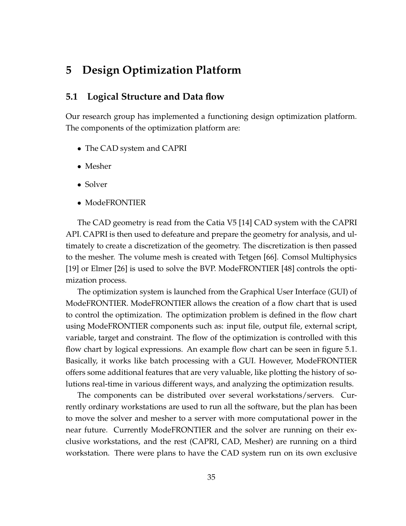# **5 Design Optimization Platform**

## **5.1 Logical Structure and Data flow**

Our research group has implemented a functioning design optimization platform. The components of the optimization platform are:

- The CAD system and CAPRI
- Mesher
- Solver
- ModeFRONTIER

The CAD geometry is read from the Catia V5 [14] CAD system with the CAPRI API. CAPRI is then used to defeature and prepare the geometry for analysis, and ultimately to create a discretization of the geometry. The discretization is then passed to the mesher. The volume mesh is created with Tetgen [66]. Comsol Multiphysics [19] or Elmer [26] is used to solve the BVP. ModeFRONTIER [48] controls the optimization process.

The optimization system is launched from the Graphical User Interface (GUI) of ModeFRONTIER. ModeFRONTIER allows the creation of a flow chart that is used to control the optimization. The optimization problem is defined in the flow chart using ModeFRONTIER components such as: input file, output file, external script, variable, target and constraint. The flow of the optimization is controlled with this flow chart by logical expressions. An example flow chart can be seen in figure 5.1. Basically, it works like batch processing with a GUI. However, ModeFRONTIER offers some additional features that are very valuable, like plotting the history of solutions real-time in various different ways, and analyzing the optimization results.

The components can be distributed over several workstations/servers. Currently ordinary workstations are used to run all the software, but the plan has been to move the solver and mesher to a server with more computational power in the near future. Currently ModeFRONTIER and the solver are running on their exclusive workstations, and the rest (CAPRI, CAD, Mesher) are running on a third workstation. There were plans to have the CAD system run on its own exclusive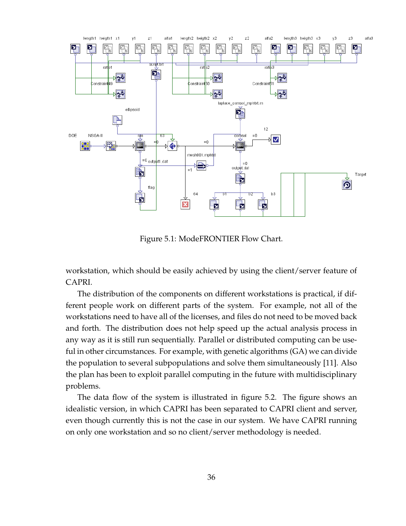

Figure 5.1: ModeFRONTIER Flow Chart.

workstation, which should be easily achieved by using the client/server feature of CAPRI.

The distribution of the components on different workstations is practical, if different people work on different parts of the system. For example, not all of the workstations need to have all of the licenses, and files do not need to be moved back and forth. The distribution does not help speed up the actual analysis process in any way as it is still run sequentially. Parallel or distributed computing can be useful in other circumstances. For example, with genetic algorithms (GA) we can divide the population to several subpopulations and solve them simultaneously [11]. Also the plan has been to exploit parallel computing in the future with multidisciplinary problems.

The data flow of the system is illustrated in figure 5.2. The figure shows an idealistic version, in which CAPRI has been separated to CAPRI client and server, even though currently this is not the case in our system. We have CAPRI running on only one workstation and so no client/server methodology is needed.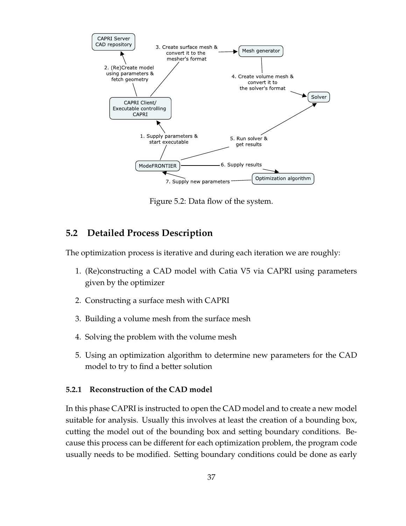

Figure 5.2: Data flow of the system.

## **5.2 Detailed Process Description**

The optimization process is iterative and during each iteration we are roughly:

- 1. (Re)constructing a CAD model with Catia V5 via CAPRI using parameters given by the optimizer
- 2. Constructing a surface mesh with CAPRI
- 3. Building a volume mesh from the surface mesh
- 4. Solving the problem with the volume mesh
- 5. Using an optimization algorithm to determine new parameters for the CAD model to try to find a better solution

#### **5.2.1 Reconstruction of the CAD model**

In this phase CAPRI is instructed to open the CAD model and to create a new model suitable for analysis. Usually this involves at least the creation of a bounding box, cutting the model out of the bounding box and setting boundary conditions. Because this process can be different for each optimization problem, the program code usually needs to be modified. Setting boundary conditions could be done as early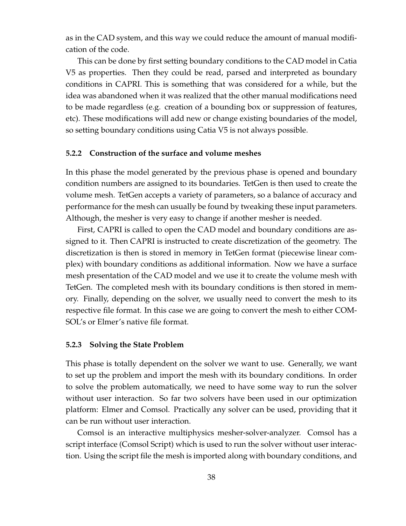as in the CAD system, and this way we could reduce the amount of manual modification of the code.

This can be done by first setting boundary conditions to the CAD model in Catia V5 as properties. Then they could be read, parsed and interpreted as boundary conditions in CAPRI. This is something that was considered for a while, but the idea was abandoned when it was realized that the other manual modifications need to be made regardless (e.g. creation of a bounding box or suppression of features, etc). These modifications will add new or change existing boundaries of the model, so setting boundary conditions using Catia V5 is not always possible.

#### **5.2.2 Construction of the surface and volume meshes**

In this phase the model generated by the previous phase is opened and boundary condition numbers are assigned to its boundaries. TetGen is then used to create the volume mesh. TetGen accepts a variety of parameters, so a balance of accuracy and performance for the mesh can usually be found by tweaking these input parameters. Although, the mesher is very easy to change if another mesher is needed.

First, CAPRI is called to open the CAD model and boundary conditions are assigned to it. Then CAPRI is instructed to create discretization of the geometry. The discretization is then is stored in memory in TetGen format (piecewise linear complex) with boundary conditions as additional information. Now we have a surface mesh presentation of the CAD model and we use it to create the volume mesh with TetGen. The completed mesh with its boundary conditions is then stored in memory. Finally, depending on the solver, we usually need to convert the mesh to its respective file format. In this case we are going to convert the mesh to either COM-SOL's or Elmer's native file format.

#### **5.2.3 Solving the State Problem**

This phase is totally dependent on the solver we want to use. Generally, we want to set up the problem and import the mesh with its boundary conditions. In order to solve the problem automatically, we need to have some way to run the solver without user interaction. So far two solvers have been used in our optimization platform: Elmer and Comsol. Practically any solver can be used, providing that it can be run without user interaction.

Comsol is an interactive multiphysics mesher-solver-analyzer. Comsol has a script interface (Comsol Script) which is used to run the solver without user interaction. Using the script file the mesh is imported along with boundary conditions, and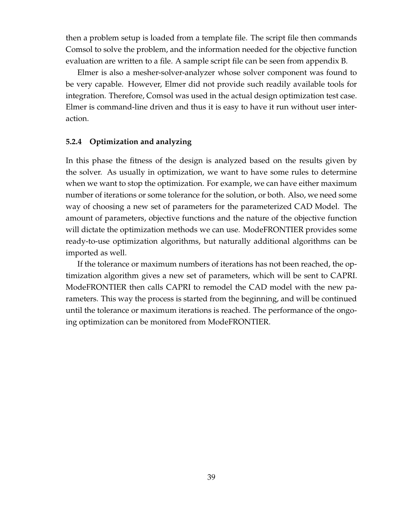then a problem setup is loaded from a template file. The script file then commands Comsol to solve the problem, and the information needed for the objective function evaluation are written to a file. A sample script file can be seen from appendix B.

Elmer is also a mesher-solver-analyzer whose solver component was found to be very capable. However, Elmer did not provide such readily available tools for integration. Therefore, Comsol was used in the actual design optimization test case. Elmer is command-line driven and thus it is easy to have it run without user interaction.

#### **5.2.4 Optimization and analyzing**

In this phase the fitness of the design is analyzed based on the results given by the solver. As usually in optimization, we want to have some rules to determine when we want to stop the optimization. For example, we can have either maximum number of iterations or some tolerance for the solution, or both. Also, we need some way of choosing a new set of parameters for the parameterized CAD Model. The amount of parameters, objective functions and the nature of the objective function will dictate the optimization methods we can use. ModeFRONTIER provides some ready-to-use optimization algorithms, but naturally additional algorithms can be imported as well.

If the tolerance or maximum numbers of iterations has not been reached, the optimization algorithm gives a new set of parameters, which will be sent to CAPRI. ModeFRONTIER then calls CAPRI to remodel the CAD model with the new parameters. This way the process is started from the beginning, and will be continued until the tolerance or maximum iterations is reached. The performance of the ongoing optimization can be monitored from ModeFRONTIER.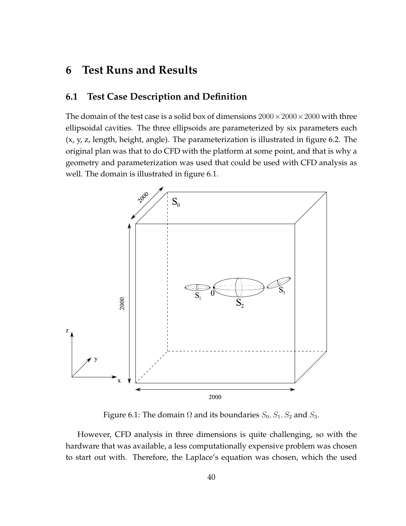# **6 Test Runs and Results**

# **6.1 Test Case Description and Definition**

The domain of the test case is a solid box of dimensions  $2000 \times 2000 \times 2000$  with three ellipsoidal cavities. The three ellipsoids are parameterized by six parameters each (x, y, z, length, height, angle). The parameterization is illustrated in figure 6.2. The original plan was that to do CFD with the platform at some point, and that is why a geometry and parameterization was used that could be used with CFD analysis as well. The domain is illustrated in figure 6.1.



Figure 6.1: The domain  $\Omega$  and its boundaries  $S_0$ ,  $S_1$ ,  $S_2$  and  $S_3$ .

However, CFD analysis in three dimensions is quite challenging, so with the hardware that was available, a less computationally expensive problem was chosen to start out with. Therefore, the Laplace's equation was chosen, which the used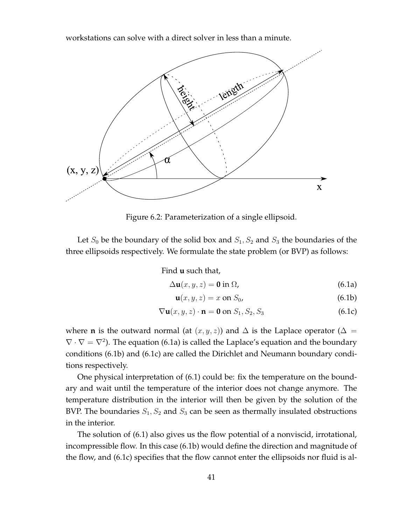workstations can solve with a direct solver in less than a minute.



Figure 6.2: Parameterization of a single ellipsoid.

Let  $S_0$  be the boundary of the solid box and  $S_1, S_2$  and  $S_3$  the boundaries of the three ellipsoids respectively. We formulate the state problem (or BVP) as follows:

Find **u** such that,

$$
\Delta \mathbf{u}(x, y, z) = \mathbf{0} \text{ in } \Omega,
$$
\n(6.1a)

$$
\mathbf{u}(x, y, z) = x \text{ on } S_0,\tag{6.1b}
$$

$$
\nabla \mathbf{u}(x, y, z) \cdot \mathbf{n} = \mathbf{0} \text{ on } S_1, S_2, S_3 \tag{6.1c}
$$

where **n** is the outward normal (at  $(x, y, z)$ ) and  $\Delta$  is the Laplace operator ( $\Delta =$  $\nabla \cdot \nabla = \nabla^2$ ). The equation (6.1a) is called the Laplace's equation and the boundary conditions (6.1b) and (6.1c) are called the Dirichlet and Neumann boundary conditions respectively.

One physical interpretation of (6.1) could be: fix the temperature on the boundary and wait until the temperature of the interior does not change anymore. The temperature distribution in the interior will then be given by the solution of the BVP. The boundaries  $S_1, S_2$  and  $S_3$  can be seen as thermally insulated obstructions in the interior.

The solution of (6.1) also gives us the flow potential of a nonviscid, irrotational, incompressible flow. In this case (6.1b) would define the direction and magnitude of the flow, and (6.1c) specifies that the flow cannot enter the ellipsoids nor fluid is al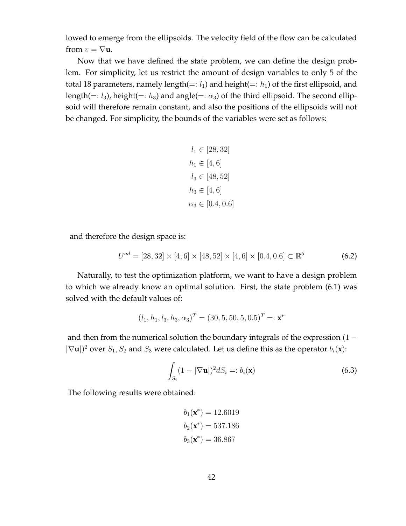lowed to emerge from the ellipsoids. The velocity field of the flow can be calculated from  $v = \nabla u$ .

Now that we have defined the state problem, we can define the design problem. For simplicity, let us restrict the amount of design variables to only 5 of the total 18 parameters, namely length(=:  $l_1$ ) and height(=:  $h_1$ ) of the first ellipsoid, and length(=:  $l_3$ ), height(=:  $h_3$ ) and angle(=:  $\alpha_3$ ) of the third ellipsoid. The second ellipsoid will therefore remain constant, and also the positions of the ellipsoids will not be changed. For simplicity, the bounds of the variables were set as follows:

$$
l_1 \in [28, 32]
$$

$$
h_1 \in [4, 6]
$$

$$
l_3 \in [48, 52]
$$

$$
h_3 \in [4, 6]
$$

$$
\alpha_3 \in [0.4, 0.6]
$$

and therefore the design space is:

$$
U^{ad} = [28, 32] \times [4, 6] \times [48, 52] \times [4, 6] \times [0.4, 0.6] \subset \mathbb{R}^5
$$
 (6.2)

Naturally, to test the optimization platform, we want to have a design problem to which we already know an optimal solution. First, the state problem (6.1) was solved with the default values of:

$$
(l_1, h_1, l_3, h_3, \alpha_3)^T = (30, 5, 50, 5, 0.5)^T =: \mathbf{x}^*
$$

and then from the numerical solution the boundary integrals of the expression  $(1 |\nabla$ **u**|)<sup>2</sup> over  $S_1$ ,  $S_2$  and  $S_3$  were calculated. Let us define this as the operator  $b_i$ (**x**):

$$
\int_{S_i} (1 - |\nabla \mathbf{u}|)^2 dS_i =: b_i(\mathbf{x})
$$
\n(6.3)

The following results were obtained:

$$
b_1(\mathbf{x}^*) = 12.6019
$$
  
\n $b_2(\mathbf{x}^*) = 537.186$   
\n $b_3(\mathbf{x}^*) = 36.867$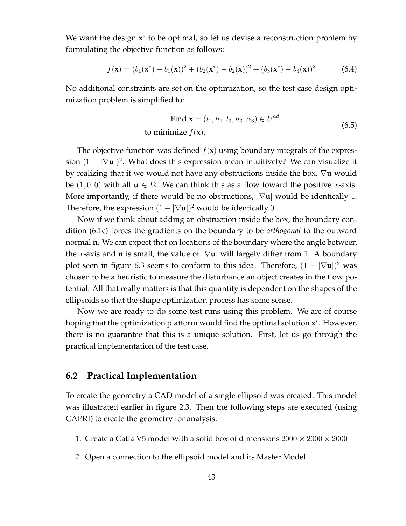We want the design **x**<sup>\*</sup> to be optimal, so let us devise a reconstruction problem by formulating the objective function as follows:

$$
f(\mathbf{x}) = (b_1(\mathbf{x}^*) - b_1(\mathbf{x}))^2 + (b_2(\mathbf{x}^*) - b_2(\mathbf{x}))^2 + (b_3(\mathbf{x}^*) - b_3(\mathbf{x}))^2
$$
(6.4)

No additional constraints are set on the optimization, so the test case design optimization problem is simplified to:

Find 
$$
\mathbf{x} = (l_1, h_1, l_3, h_3, \alpha_3) \in U^{ad}
$$
  
to minimize  $f(\mathbf{x})$ , (6.5)

The objective function was defined  $f(\mathbf{x})$  using boundary integrals of the expression  $(1 - |\nabla \mathbf{u}|)^2$ . What does this expression mean intuitively? We can visualize it by realizing that if we would not have any obstructions inside the box, ∇**u** would be  $(1, 0, 0)$  with all  $\mathbf{u} \in \Omega$ . We can think this as a flow toward the positive x-axis. More importantly, if there would be no obstructions, |∇**u**| would be identically 1. Therefore, the expression  $(1 - |\nabla \mathbf{u}|)^2$  would be identically 0.

Now if we think about adding an obstruction inside the box, the boundary condition (6.1c) forces the gradients on the boundary to be *orthogonal* to the outward normal **n**. We can expect that on locations of the boundary where the angle between the x-axis and **n** is small, the value of  $|\nabla u|$  will largely differ from 1. A boundary plot seen in figure 6.3 seems to conform to this idea. Therefore,  $(1 - |\nabla \mathbf{u}|)^2$  was chosen to be a heuristic to measure the disturbance an object creates in the flow potential. All that really matters is that this quantity is dependent on the shapes of the ellipsoids so that the shape optimization process has some sense.

Now we are ready to do some test runs using this problem. We are of course hoping that the optimization platform would find the optimal solution **x** ∗ . However, there is no guarantee that this is a unique solution. First, let us go through the practical implementation of the test case.

### **6.2 Practical Implementation**

To create the geometry a CAD model of a single ellipsoid was created. This model was illustrated earlier in figure 2.3. Then the following steps are executed (using CAPRI) to create the geometry for analysis:

- 1. Create a Catia V5 model with a solid box of dimensions  $2000 \times 2000 \times 2000$
- 2. Open a connection to the ellipsoid model and its Master Model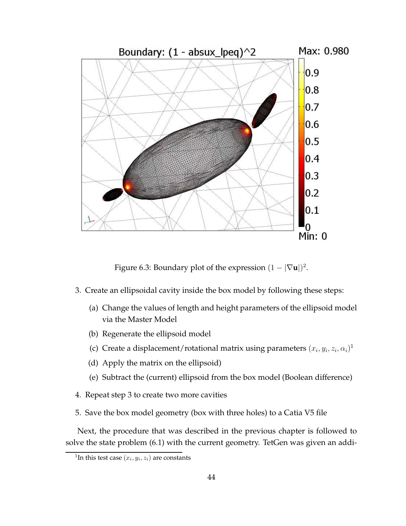

Figure 6.3: Boundary plot of the expression  $(1 - |\nabla \mathbf{u}|)^2$ .

- 3. Create an ellipsoidal cavity inside the box model by following these steps:
	- (a) Change the values of length and height parameters of the ellipsoid model via the Master Model
	- (b) Regenerate the ellipsoid model
	- (c) Create a displacement/rotational matrix using parameters  $(x_i, y_i, z_i, \alpha_i)^1$
	- (d) Apply the matrix on the ellipsoid)
	- (e) Subtract the (current) ellipsoid from the box model (Boolean difference)
- 4. Repeat step 3 to create two more cavities
- 5. Save the box model geometry (box with three holes) to a Catia V5 file

Next, the procedure that was described in the previous chapter is followed to solve the state problem (6.1) with the current geometry. TetGen was given an addi-

<sup>&</sup>lt;sup>1</sup>In this test case  $(x_i, y_i, z_i)$  are constants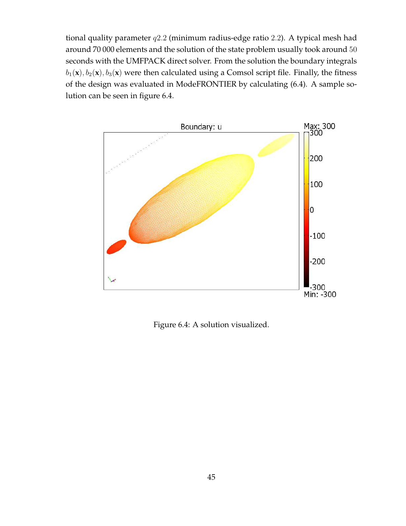tional quality parameter q2.2 (minimum radius-edge ratio 2.2). A typical mesh had around 70 000 elements and the solution of the state problem usually took around 50 seconds with the UMFPACK direct solver. From the solution the boundary integrals  $b_1(\mathbf{x}), b_2(\mathbf{x}), b_3(\mathbf{x})$  were then calculated using a Comsol script file. Finally, the fitness of the design was evaluated in ModeFRONTIER by calculating (6.4). A sample solution can be seen in figure 6.4.



Figure 6.4: A solution visualized.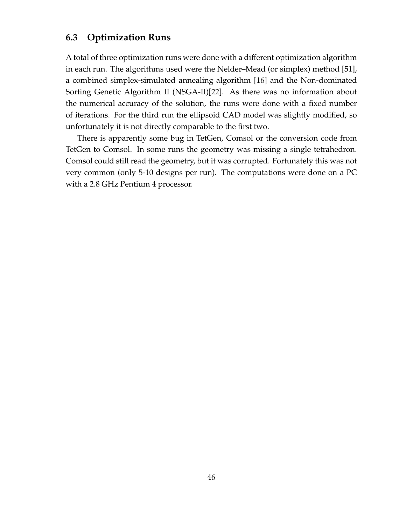# **6.3 Optimization Runs**

A total of three optimization runs were done with a different optimization algorithm in each run. The algorithms used were the Nelder–Mead (or simplex) method [51], a combined simplex-simulated annealing algorithm [16] and the Non-dominated Sorting Genetic Algorithm II (NSGA-II)[22]. As there was no information about the numerical accuracy of the solution, the runs were done with a fixed number of iterations. For the third run the ellipsoid CAD model was slightly modified, so unfortunately it is not directly comparable to the first two.

There is apparently some bug in TetGen, Comsol or the conversion code from TetGen to Comsol. In some runs the geometry was missing a single tetrahedron. Comsol could still read the geometry, but it was corrupted. Fortunately this was not very common (only 5-10 designs per run). The computations were done on a PC with a 2.8 GHz Pentium 4 processor.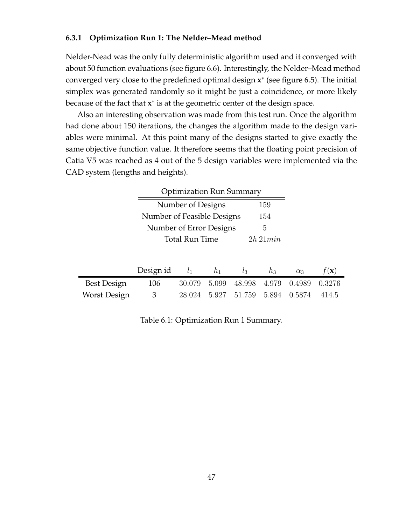#### **6.3.1 Optimization Run 1: The Nelder–Mead method**

Nelder-Nead was the only fully deterministic algorithm used and it converged with about 50 function evaluations (see figure 6.6). Interestingly, the Nelder–Mead method converged very close to the predefined optimal design **x** ∗ (see figure 6.5). The initial simplex was generated randomly so it might be just a coincidence, or more likely because of the fact that **x**<sup>∗</sup> is at the geometric center of the design space.

Also an interesting observation was made from this test run. Once the algorithm had done about 150 iterations, the changes the algorithm made to the design variables were minimal. At this point many of the designs started to give exactly the same objective function value. It therefore seems that the floating point precision of Catia V5 was reached as 4 out of the 5 design variables were implemented via the CAD system (lengths and heights).

|                    | <b>Optimization Run Summary</b> |                                   |       |        |       |            |                 |
|--------------------|---------------------------------|-----------------------------------|-------|--------|-------|------------|-----------------|
|                    |                                 | Number of Designs<br>159          |       |        |       |            |                 |
|                    |                                 | Number of Feasible Designs<br>154 |       |        |       |            |                 |
|                    |                                 | Number of Error Designs           |       |        | 5     |            |                 |
|                    | Total Run Time<br>$2h\,21min$   |                                   |       |        |       |            |                 |
|                    |                                 |                                   |       |        |       |            |                 |
|                    | Design id                       | $l_{1}$                           | $h_1$ | $l_3$  | $h_3$ | $\alpha_3$ | $f(\mathbf{x})$ |
| <b>Best Design</b> | 106                             | 30.079                            | 5.099 | 48.998 | 4.979 | 0.4989     | 0.3276          |
| Worst Design       | 3                               | 28.024                            | 5.927 | 51.759 | 5.894 | 0.5874     | 414.5           |

Table 6.1: Optimization Run 1 Summary.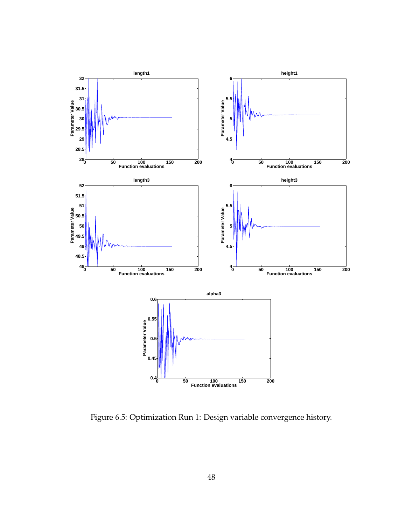

Figure 6.5: Optimization Run 1: Design variable convergence history.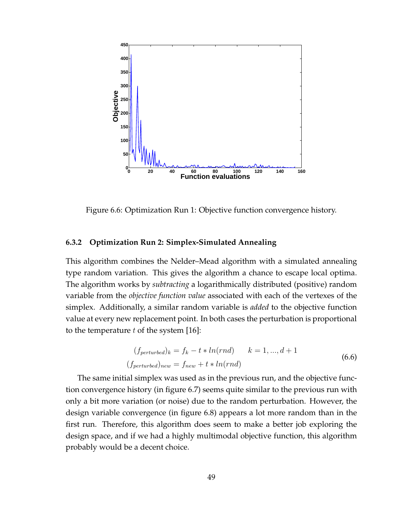

Figure 6.6: Optimization Run 1: Objective function convergence history.

#### **6.3.2 Optimization Run 2: Simplex-Simulated Annealing**

This algorithm combines the Nelder–Mead algorithm with a simulated annealing type random variation. This gives the algorithm a chance to escape local optima. The algorithm works by *subtracting* a logarithmically distributed (positive) random variable from the *objective function value* associated with each of the vertexes of the simplex. Additionally, a similar random variable is *added* to the objective function value at every new replacement point. In both cases the perturbation is proportional to the temperature  $t$  of the system [16]:

$$
(f_{perturbed})_k = f_k - t * ln(rnd) \qquad k = 1, ..., d+1
$$

$$
(f_{perturbed})_{new} = f_{new} + t * ln(rnd)
$$
 (6.6)

The same initial simplex was used as in the previous run, and the objective function convergence history (in figure 6.7) seems quite similar to the previous run with only a bit more variation (or noise) due to the random perturbation. However, the design variable convergence (in figure 6.8) appears a lot more random than in the first run. Therefore, this algorithm does seem to make a better job exploring the design space, and if we had a highly multimodal objective function, this algorithm probably would be a decent choice.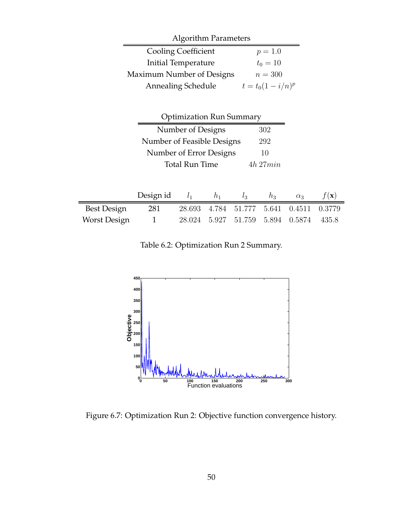| <b>Algorithm Parameters</b>            |                            |                                 |       |        |                      |            |                 |
|----------------------------------------|----------------------------|---------------------------------|-------|--------|----------------------|------------|-----------------|
|                                        |                            | <b>Cooling Coefficient</b>      |       |        | $p = 1.0$            |            |                 |
|                                        |                            | Initial Temperature             |       |        | $t_0 = 10$           |            |                 |
|                                        | Maximum Number of Designs  |                                 |       |        | $n = 300$            |            |                 |
|                                        | <b>Annealing Schedule</b>  |                                 |       |        | $t = t_0(1 - i/n)^p$ |            |                 |
|                                        |                            |                                 |       |        |                      |            |                 |
|                                        |                            | <b>Optimization Run Summary</b> |       |        |                      |            |                 |
|                                        |                            | Number of Designs               |       |        | 302                  |            |                 |
|                                        | Number of Feasible Designs |                                 |       |        | 292                  |            |                 |
|                                        |                            | Number of Error Designs         |       |        | 10                   |            |                 |
| <b>Total Run Time</b><br>$4h$ 27 $min$ |                            |                                 |       |        |                      |            |                 |
|                                        |                            |                                 |       |        |                      |            |                 |
|                                        | Design id                  | $l_1$                           | $h_1$ | $l_3$  | $h_3$                | $\alpha_3$ | $f(\mathbf{x})$ |
| <b>Best Design</b>                     | 281                        | 28.693                          | 4.784 | 51.777 | 5.641                | 0.4511     | 0.3779          |
| <b>Worst Design</b>                    | 1                          | 28.024                          | 5.927 | 51.759 | 5.894                | 0.5874     | 435.8           |

Table 6.2: Optimization Run 2 Summary.



Figure 6.7: Optimization Run 2: Objective function convergence history.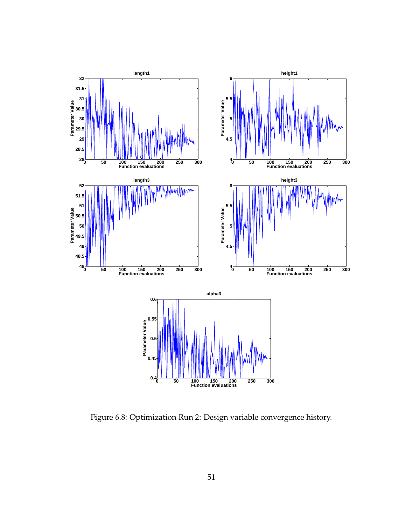

Figure 6.8: Optimization Run 2: Design variable convergence history.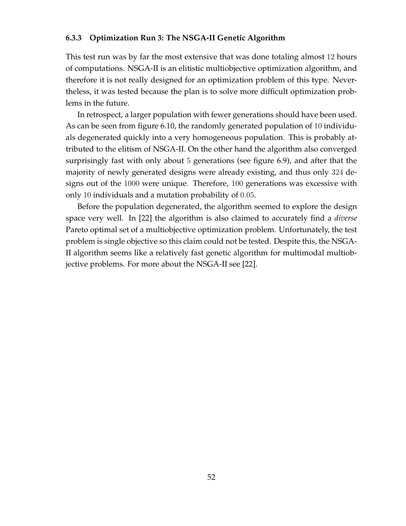#### **6.3.3 Optimization Run 3: The NSGA-II Genetic Algorithm**

This test run was by far the most extensive that was done totaling almost 12 hours of computations. NSGA-II is an elitistic multiobjective optimization algorithm, and therefore it is not really designed for an optimization problem of this type. Nevertheless, it was tested because the plan is to solve more difficult optimization problems in the future.

In retrospect, a larger population with fewer generations should have been used. As can be seen from figure 6.10, the randomly generated population of 10 individuals degenerated quickly into a very homogeneous population. This is probably attributed to the elitism of NSGA-II. On the other hand the algorithm also converged surprisingly fast with only about 5 generations (see figure 6.9), and after that the majority of newly generated designs were already existing, and thus only 324 designs out of the 1000 were unique. Therefore, 100 generations was excessive with only 10 individuals and a mutation probability of 0.05.

Before the population degenerated, the algorithm seemed to explore the design space very well. In [22] the algorithm is also claimed to accurately find a *diverse* Pareto optimal set of a multiobjective optimization problem. Unfortunately, the test problem is single objective so this claim could not be tested. Despite this, the NSGA-II algorithm seems like a relatively fast genetic algorithm for multimodal multiobjective problems. For more about the NSGA-II see [22].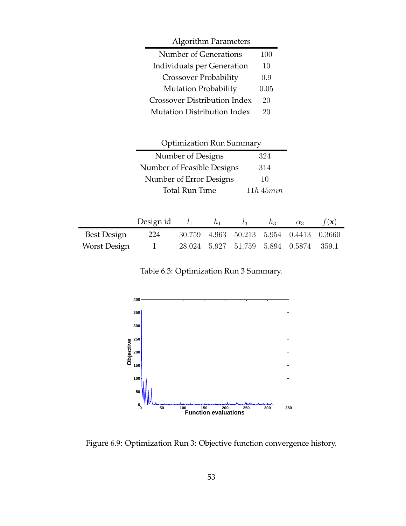| <b>Algorithm Parameters</b>         |      |
|-------------------------------------|------|
| Number of Generations               | 100  |
| Individuals per Generation          | 10   |
| <b>Crossover Probability</b>        | 0.9  |
| <b>Mutation Probability</b>         | 0.05 |
| <b>Crossover Distribution Index</b> | 20   |
| Mutation Distribution Index         | 20   |

| <b>Optimization Run Summary</b> |                |  |  |  |
|---------------------------------|----------------|--|--|--|
| Number of Designs               | 324            |  |  |  |
| Number of Feasible Designs      | 314            |  |  |  |
| Number of Error Designs         | 10             |  |  |  |
| <b>Total Run Time</b>           | $11h$ 45 $min$ |  |  |  |

|              | Design id $l_1$ | $h_1$ | $l_3$                                   | $h_3$ | $\alpha_3$ | $f(\mathbf{x})$ |
|--------------|-----------------|-------|-----------------------------------------|-------|------------|-----------------|
| Best Design  | 224             |       | 30.759 4.963 50.213 5.954 0.4413 0.3660 |       |            |                 |
| Worst Design |                 |       | 28.024 5.927 51.759 5.894 0.5874 359.1  |       |            |                 |

Table 6.3: Optimization Run 3 Summary.



Figure 6.9: Optimization Run 3: Objective function convergence history.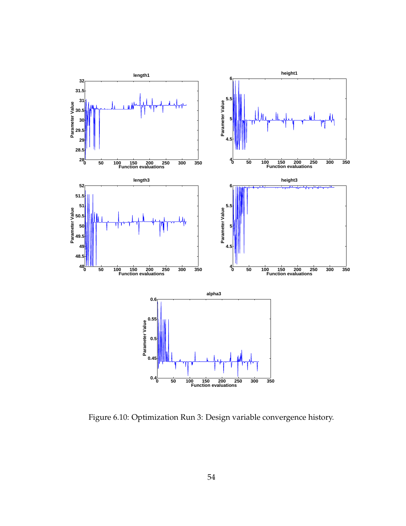

Figure 6.10: Optimization Run 3: Design variable convergence history.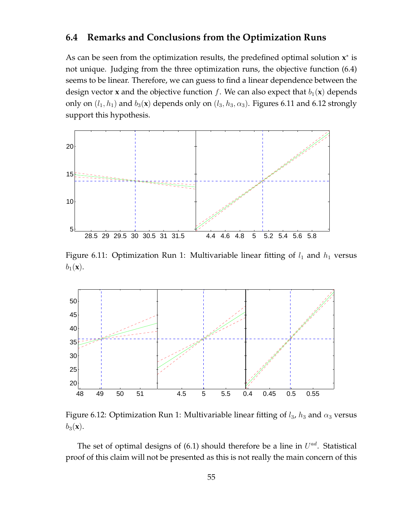## **6.4 Remarks and Conclusions from the Optimization Runs**

As can be seen from the optimization results, the predefined optimal solution **x** ∗ is not unique. Judging from the three optimization runs, the objective function (6.4) seems to be linear. Therefore, we can guess to find a linear dependence between the design vector **x** and the objective function f. We can also expect that  $b_1(\mathbf{x})$  depends only on  $(l_1, h_1)$  and  $b_3(\mathbf{x})$  depends only on  $(l_3, h_3, \alpha_3)$ . Figures 6.11 and 6.12 strongly support this hypothesis.



Figure 6.11: Optimization Run 1: Multivariable linear fitting of  $l_1$  and  $h_1$  versus  $b_1(\mathbf{x})$ .



Figure 6.12: Optimization Run 1: Multivariable linear fitting of  $l_3$ ,  $h_3$  and  $\alpha_3$  versus  $b_3(\mathbf{x})$ .

The set of optimal designs of  $(6.1)$  should therefore be a line in  $U^{ad}$ . Statistical proof of this claim will not be presented as this is not really the main concern of this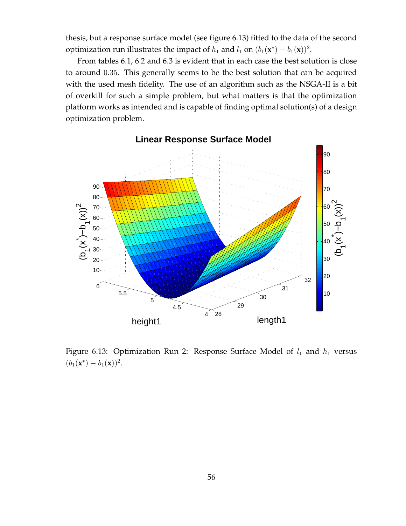thesis, but a response surface model (see figure 6.13) fitted to the data of the second optimization run illustrates the impact of  $h_1$  and  $l_1$  on  $(b_1(\mathbf{x}^*) - b_1(\mathbf{x}))^2$ .

From tables 6.1, 6.2 and 6.3 is evident that in each case the best solution is close to around 0.35. This generally seems to be the best solution that can be acquired with the used mesh fidelity. The use of an algorithm such as the NSGA-II is a bit of overkill for such a simple problem, but what matters is that the optimization platform works as intended and is capable of finding optimal solution(s) of a design optimization problem.



Figure 6.13: Optimization Run 2: Response Surface Model of  $l_1$  and  $h_1$  versus  $(b_1(\mathbf{x}^*) - b_1(\mathbf{x}))^2$ .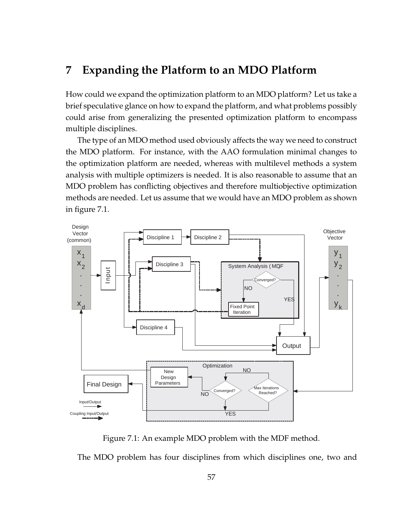# **7 Expanding the Platform to an MDO Platform**

How could we expand the optimization platform to an MDO platform? Let us take a brief speculative glance on how to expand the platform, and what problems possibly could arise from generalizing the presented optimization platform to encompass multiple disciplines.

The type of an MDO method used obviously affects the way we need to construct the MDO platform. For instance, with the AAO formulation minimal changes to the optimization platform are needed, whereas with multilevel methods a system analysis with multiple optimizers is needed. It is also reasonable to assume that an MDO problem has conflicting objectives and therefore multiobjective optimization methods are needed. Let us assume that we would have an MDO problem as shown in figure 7.1.



Figure 7.1: An example MDO problem with the MDF method.

The MDO problem has four disciplines from which disciplines one, two and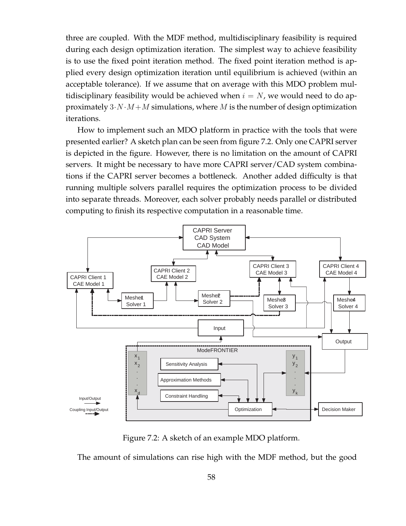three are coupled. With the MDF method, multidisciplinary feasibility is required during each design optimization iteration. The simplest way to achieve feasibility is to use the fixed point iteration method. The fixed point iteration method is applied every design optimization iteration until equilibrium is achieved (within an acceptable tolerance). If we assume that on average with this MDO problem multidisciplinary feasibility would be achieved when  $i = N$ , we would need to do approximately  $3 \cdot N \cdot M + M$  simulations, where M is the number of design optimization iterations.

How to implement such an MDO platform in practice with the tools that were presented earlier? A sketch plan can be seen from figure 7.2. Only one CAPRI server is depicted in the figure. However, there is no limitation on the amount of CAPRI servers. It might be necessary to have more CAPRI server/CAD system combinations if the CAPRI server becomes a bottleneck. Another added difficulty is that running multiple solvers parallel requires the optimization process to be divided into separate threads. Moreover, each solver probably needs parallel or distributed computing to finish its respective computation in a reasonable time.



Figure 7.2: A sketch of an example MDO platform.

The amount of simulations can rise high with the MDF method, but the good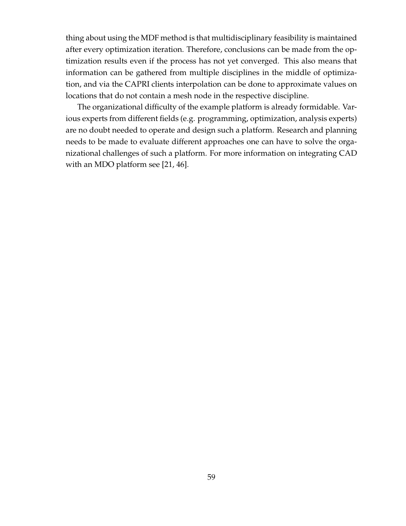thing about using the MDF method is that multidisciplinary feasibility is maintained after every optimization iteration. Therefore, conclusions can be made from the optimization results even if the process has not yet converged. This also means that information can be gathered from multiple disciplines in the middle of optimization, and via the CAPRI clients interpolation can be done to approximate values on locations that do not contain a mesh node in the respective discipline.

The organizational difficulty of the example platform is already formidable. Various experts from different fields (e.g. programming, optimization, analysis experts) are no doubt needed to operate and design such a platform. Research and planning needs to be made to evaluate different approaches one can have to solve the organizational challenges of such a platform. For more information on integrating CAD with an MDO platform see [21, 46].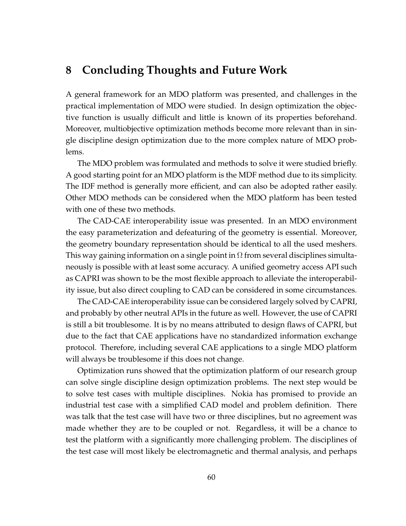# **8 Concluding Thoughts and Future Work**

A general framework for an MDO platform was presented, and challenges in the practical implementation of MDO were studied. In design optimization the objective function is usually difficult and little is known of its properties beforehand. Moreover, multiobjective optimization methods become more relevant than in single discipline design optimization due to the more complex nature of MDO problems.

The MDO problem was formulated and methods to solve it were studied briefly. A good starting point for an MDO platform is the MDF method due to its simplicity. The IDF method is generally more efficient, and can also be adopted rather easily. Other MDO methods can be considered when the MDO platform has been tested with one of these two methods.

The CAD-CAE interoperability issue was presented. In an MDO environment the easy parameterization and defeaturing of the geometry is essential. Moreover, the geometry boundary representation should be identical to all the used meshers. This way gaining information on a single point in  $\Omega$  from several disciplines simultaneously is possible with at least some accuracy. A unified geometry access API such as CAPRI was shown to be the most flexible approach to alleviate the interoperability issue, but also direct coupling to CAD can be considered in some circumstances.

The CAD-CAE interoperability issue can be considered largely solved by CAPRI, and probably by other neutral APIs in the future as well. However, the use of CAPRI is still a bit troublesome. It is by no means attributed to design flaws of CAPRI, but due to the fact that CAE applications have no standardized information exchange protocol. Therefore, including several CAE applications to a single MDO platform will always be troublesome if this does not change.

Optimization runs showed that the optimization platform of our research group can solve single discipline design optimization problems. The next step would be to solve test cases with multiple disciplines. Nokia has promised to provide an industrial test case with a simplified CAD model and problem definition. There was talk that the test case will have two or three disciplines, but no agreement was made whether they are to be coupled or not. Regardless, it will be a chance to test the platform with a significantly more challenging problem. The disciplines of the test case will most likely be electromagnetic and thermal analysis, and perhaps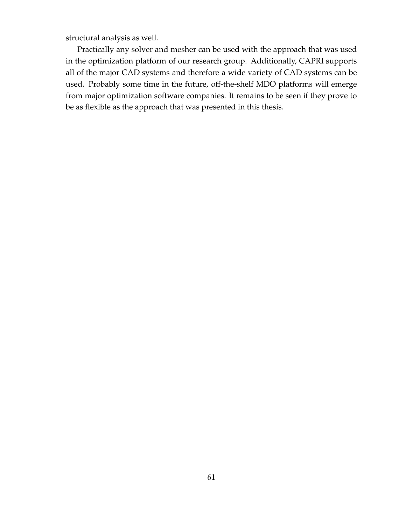structural analysis as well.

Practically any solver and mesher can be used with the approach that was used in the optimization platform of our research group. Additionally, CAPRI supports all of the major CAD systems and therefore a wide variety of CAD systems can be used. Probably some time in the future, off-the-shelf MDO platforms will emerge from major optimization software companies. It remains to be seen if they prove to be as flexible as the approach that was presented in this thesis.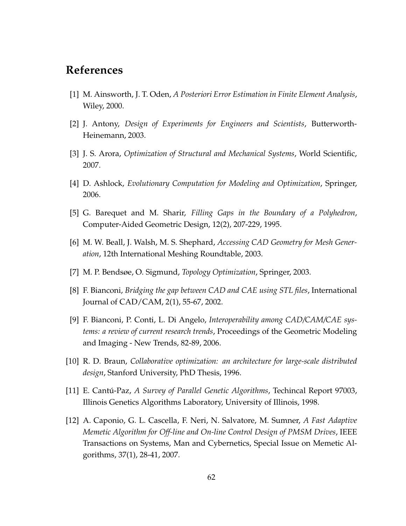## **References**

- [1] M. Ainsworth, J. T. Oden, *A Posteriori Error Estimation in Finite Element Analysis*, Wiley, 2000.
- [2] J. Antony, *Design of Experiments for Engineers and Scientists*, Butterworth-Heinemann, 2003.
- [3] J. S. Arora, *Optimization of Structural and Mechanical Systems*, World Scientific, 2007.
- [4] D. Ashlock, *Evolutionary Computation for Modeling and Optimization*, Springer, 2006.
- [5] G. Barequet and M. Sharir, *Filling Gaps in the Boundary of a Polyhedron*, Computer-Aided Geometric Design, 12(2), 207-229, 1995.
- [6] M. W. Beall, J. Walsh, M. S. Shephard, *Accessing CAD Geometry for Mesh Generation*, 12th International Meshing Roundtable, 2003.
- [7] M. P. Bendsøe, O. Sigmund, *Topology Optimization*, Springer, 2003.
- [8] F. Bianconi, *Bridging the gap between CAD and CAE using STL files*, International Journal of CAD/CAM, 2(1), 55-67, 2002.
- [9] F. Bianconi, P. Conti, L. Di Angelo, *Interoperability among CAD/CAM/CAE systems: a review of current research trends*, Proceedings of the Geometric Modeling and Imaging - New Trends, 82-89, 2006.
- [10] R. D. Braun, *Collaborative optimization: an architecture for large-scale distributed design*, Stanford University, PhD Thesis, 1996.
- [11] E. Cantú-Paz, *A Survey of Parallel Genetic Algorithms*, Techincal Report 97003, Illinois Genetics Algorithms Laboratory, University of Illinois, 1998.
- [12] A. Caponio, G. L. Cascella, F. Neri, N. Salvatore, M. Sumner, *A Fast Adaptive Memetic Algorithm for Off-line and On-line Control Design of PMSM Drives*, IEEE Transactions on Systems, Man and Cybernetics, Special Issue on Memetic Algorithms, 37(1), 28-41, 2007.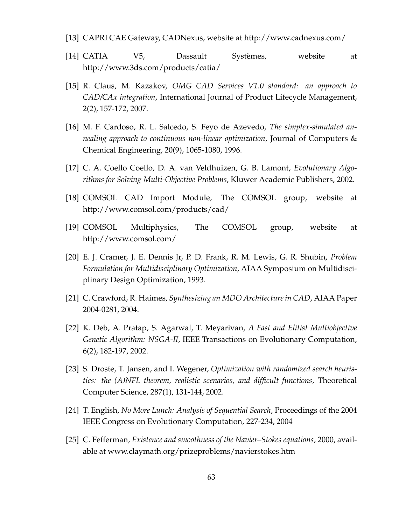- [13] CAPRI CAE Gateway, CADNexus, website at http://www.cadnexus.com/
- [14] CATIA V5, Dassault Systèmes, website at http://www.3ds.com/products/catia/
- [15] R. Claus, M. Kazakov, *OMG CAD Services V1.0 standard: an approach to CAD/CAx integration*, International Journal of Product Lifecycle Management, 2(2), 157-172, 2007.
- [16] M. F. Cardoso, R. L. Salcedo, S. Feyo de Azevedo, *The simplex-simulated annealing approach to continuous non-linear optimization*, Journal of Computers & Chemical Engineering, 20(9), 1065-1080, 1996.
- [17] C. A. Coello Coello, D. A. van Veldhuizen, G. B. Lamont, *Evolutionary Algorithms for Solving Multi-Objective Problems*, Kluwer Academic Publishers, 2002.
- [18] COMSOL CAD Import Module, The COMSOL group, website at http://www.comsol.com/products/cad/
- [19] COMSOL Multiphysics, The COMSOL group, website at http://www.comsol.com/
- [20] E. J. Cramer, J. E. Dennis Jr, P. D. Frank, R. M. Lewis, G. R. Shubin, *Problem Formulation for Multidisciplinary Optimization*, AIAA Symposium on Multidisciplinary Design Optimization, 1993.
- [21] C. Crawford, R. Haimes, *Synthesizing an MDO Architecture in CAD*, AIAA Paper 2004-0281, 2004.
- [22] K. Deb, A. Pratap, S. Agarwal, T. Meyarivan, *A Fast and Elitist Multiobjective Genetic Algorithm: NSGA-II*, IEEE Transactions on Evolutionary Computation, 6(2), 182-197, 2002.
- [23] S. Droste, T. Jansen, and I. Wegener, *Optimization with randomized search heuristics: the (A)NFL theorem, realistic scenarios, and difficult functions*, Theoretical Computer Science, 287(1), 131-144, 2002.
- [24] T. English, *No More Lunch: Analysis of Sequential Search*, Proceedings of the 2004 IEEE Congress on Evolutionary Computation, 227-234, 2004
- [25] C. Fefferman, *Existence and smoothness of the Navier–Stokes equations*, 2000, available at www.claymath.org/prizeproblems/navierstokes.htm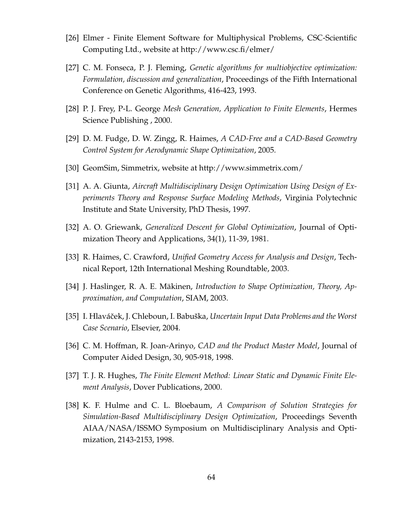- [26] Elmer Finite Element Software for Multiphysical Problems, CSC-Scientific Computing Ltd., website at http://www.csc.fi/elmer/
- [27] C. M. Fonseca, P. J. Fleming, *Genetic algorithms for multiobjective optimization: Formulation, discussion and generalization*, Proceedings of the Fifth International Conference on Genetic Algorithms, 416-423, 1993.
- [28] P. J. Frey, P-L. George *Mesh Generation, Application to Finite Elements*, Hermes Science Publishing , 2000.
- [29] D. M. Fudge, D. W. Zingg, R. Haimes, *A CAD-Free and a CAD-Based Geometry Control System for Aerodynamic Shape Optimization*, 2005.
- [30] GeomSim, Simmetrix, website at http://www.simmetrix.com/
- [31] A. A. Giunta, *Aircraft Multidisciplinary Design Optimization Using Design of Experiments Theory and Response Surface Modeling Methods*, Virginia Polytechnic Institute and State University, PhD Thesis, 1997.
- [32] A. O. Griewank, *Generalized Descent for Global Optimization*, Journal of Optimization Theory and Applications, 34(1), 11-39, 1981.
- [33] R. Haimes, C. Crawford, *Unified Geometry Access for Analysis and Design*, Technical Report, 12th International Meshing Roundtable, 2003.
- [34] J. Haslinger, R. A. E. Mäkinen, *Introduction to Shape Optimization, Theory, Approximation, and Computation*, SIAM, 2003.
- [35] I. Hlaváˇcek, J. Chleboun, I. Babuška, *Uncertain Input Data Problems and the Worst Case Scenario*, Elsevier, 2004.
- [36] C. M. Hoffman, R. Joan-Arinyo, *CAD and the Product Master Model*, Journal of Computer Aided Design, 30, 905-918, 1998.
- [37] T. J. R. Hughes, *The Finite Element Method: Linear Static and Dynamic Finite Element Analysis*, Dover Publications, 2000.
- [38] K. F. Hulme and C. L. Bloebaum, *A Comparison of Solution Strategies for Simulation-Based Multidisciplinary Design Optimization*, Proceedings Seventh AIAA/NASA/ISSMO Symposium on Multidisciplinary Analysis and Optimization, 2143-2153, 1998.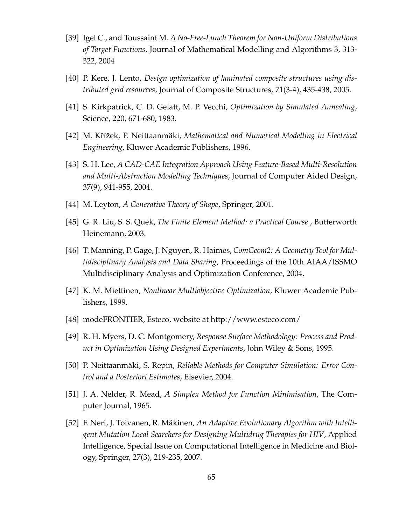- [39] Igel C., and Toussaint M. *A No-Free-Lunch Theorem for Non-Uniform Distributions of Target Functions*, Journal of Mathematical Modelling and Algorithms 3, 313- 322, 2004
- [40] P. Kere, J. Lento, *Design optimization of laminated composite structures using distributed grid resources*, Journal of Composite Structures, 71(3-4), 435-438, 2005.
- [41] S. Kirkpatrick, C. D. Gelatt, M. P. Vecchi, *Optimization by Simulated Annealing*, Science, 220, 671-680, 1983.
- [42] M. Kˇrížek, P. Neittaanmäki, *Mathematical and Numerical Modelling in Electrical Engineering*, Kluwer Academic Publishers, 1996.
- [43] S. H. Lee, *A CAD-CAE Integration Approach Using Feature-Based Multi-Resolution and Multi-Abstraction Modelling Techniques*, Journal of Computer Aided Design, 37(9), 941-955, 2004.
- [44] M. Leyton, *A Generative Theory of Shape*, Springer, 2001.
- [45] G. R. Liu, S. S. Quek, *The Finite Element Method: a Practical Course* , Butterworth Heinemann, 2003.
- [46] T. Manning, P. Gage, J. Nguyen, R. Haimes, *ComGeom2: A Geometry Tool for Multidisciplinary Analysis and Data Sharing*, Proceedings of the 10th AIAA/ISSMO Multidisciplinary Analysis and Optimization Conference, 2004.
- [47] K. M. Miettinen, *Nonlinear Multiobjective Optimization*, Kluwer Academic Publishers, 1999.
- [48] modeFRONTIER, Esteco, website at http://www.esteco.com/
- [49] R. H. Myers, D. C. Montgomery, *Response Surface Methodology: Process and Product in Optimization Using Designed Experiments*, John Wiley & Sons, 1995.
- [50] P. Neittaanmäki, S. Repin, *Reliable Methods for Computer Simulation: Error Control and a Posteriori Estimates*, Elsevier, 2004.
- [51] J. A. Nelder, R. Mead, *A Simplex Method for Function Minimisation*, The Computer Journal, 1965.
- [52] F. Neri, J. Toivanen, R. Mäkinen, *An Adaptive Evolutionary Algorithm with Intelligent Mutation Local Searchers for Designing Multidrug Therapies for HIV*, Applied Intelligence, Special Issue on Computational Intelligence in Medicine and Biology, Springer, 27(3), 219-235, 2007.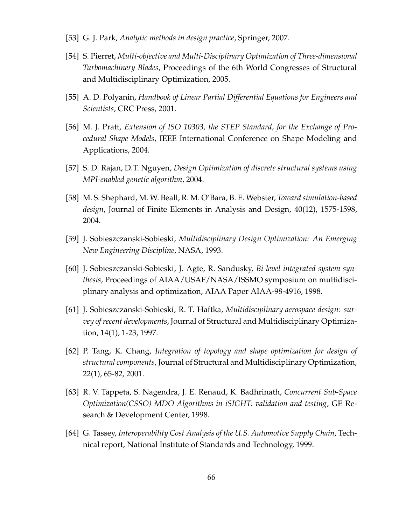- [53] G. J. Park, *Analytic methods in design practice*, Springer, 2007.
- [54] S. Pierret, *Multi-objective and Multi-Disciplinary Optimization of Three-dimensional Turbomachinery Blades*, Proceedings of the 6th World Congresses of Structural and Multidisciplinary Optimization, 2005.
- [55] A. D. Polyanin, *Handbook of Linear Partial Differential Equations for Engineers and Scientists*, CRC Press, 2001.
- [56] M. J. Pratt, *Extension of ISO 10303, the STEP Standard, for the Exchange of Procedural Shape Models*, IEEE International Conference on Shape Modeling and Applications, 2004.
- [57] S. D. Rajan, D.T. Nguyen, *Design Optimization of discrete structural systems using MPI-enabled genetic algorithm*, 2004.
- [58] M. S. Shephard, M. W. Beall, R. M. O'Bara, B. E. Webster, *Toward simulation-based design*, Journal of Finite Elements in Analysis and Design, 40(12), 1575-1598, 2004.
- [59] J. Sobieszczanski-Sobieski, *Multidisciplinary Design Optimization: An Emerging New Engineering Discipline*, NASA, 1993.
- [60] J. Sobieszczanski-Sobieski, J. Agte, R. Sandusky, *Bi-level integrated system synthesis*, Proceedings of AIAA/USAF/NASA/ISSMO symposium on multidisciplinary analysis and optimization, AIAA Paper AIAA-98-4916, 1998.
- [61] J. Sobieszczanski-Sobieski, R. T. Haftka, *Multidisciplinary aerospace design: survey of recent developments*, Journal of Structural and Multidisciplinary Optimization, 14(1), 1-23, 1997.
- [62] P. Tang, K. Chang, *Integration of topology and shape optimization for design of structural components*, Journal of Structural and Multidisciplinary Optimization, 22(1), 65-82, 2001.
- [63] R. V. Tappeta, S. Nagendra, J. E. Renaud, K. Badhrinath, *Concurrent Sub-Space Optimization(CSSO) MDO Algorithms in iSIGHT: validation and testing*, GE Research & Development Center, 1998.
- [64] G. Tassey, *Interoperability Cost Analysis of the U.S. Automotive Supply Chain*, Technical report, National Institute of Standards and Technology, 1999.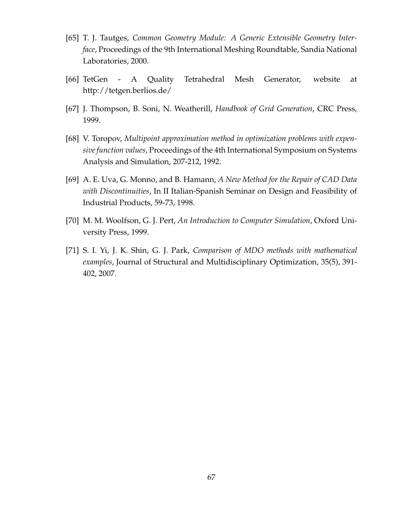- [65] T. J. Tautges, *Common Geometry Module: A Generic Extensible Geometry Interface*, Proceedings of the 9th International Meshing Roundtable, Sandia National Laboratories, 2000.
- [66] TetGen A Quality Tetrahedral Mesh Generator, website at http://tetgen.berlios.de/
- [67] J. Thompson, B. Soni, N. Weatherill, *Handbook of Grid Generation*, CRC Press, 1999.
- [68] V. Toropov, *Multipoint approximation method in optimization problems with expensive function values*, Proceedings of the 4th International Symposium on Systems Analysis and Simulation, 207-212, 1992.
- [69] A. E. Uva, G. Monno, and B. Hamann, *A New Method for the Repair of CAD Data with Discontinuities*, In II Italian-Spanish Seminar on Design and Feasibility of Industrial Products, 59-73, 1998.
- [70] M. M. Woolfson, G. J. Pert, *An Introduction to Computer Simulation*, Oxford University Press, 1999.
- [71] S. I. Yi, J. K. Shin, G. J. Park, *Comparison of MDO methods with mathematical examples*, Journal of Structural and Multidisciplinary Optimization, 35(5), 391- 402, 2007.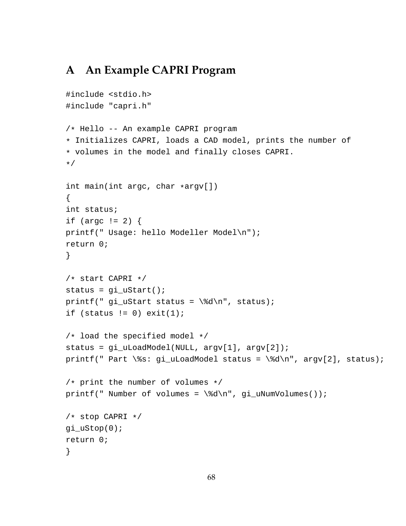## **A An Example CAPRI Program**

```
#include <stdio.h>
#include "capri.h"
/* Hello -- An example CAPRI program
* Initializes CAPRI, loads a CAD model, prints the number of
* volumes in the model and finally closes CAPRI.
*/
int main(int argc, char *argv[])
{
int status;
if (argc != 2) {
printf(" Usage: hello Modeller Model\n");
return 0;
}
/* start CAPRI */
status = gi_uStart();
printf(" gi_uStart status = \dagger \ddots \, status);
if (status != 0) exit(1);
/* load the specified model */
status = gi_uLoadModel(NULL, argv[1], argv[2]);
printf(" Part \%s: gi_uLoadModel status = \%d\n", argv[2], status);
/* print the number of volumes */
printf(" Number of volumes = \d%d\n", gi_uNumVolumes());
/* stop CAPRI */
gi_uStop(0);
return 0;
}
```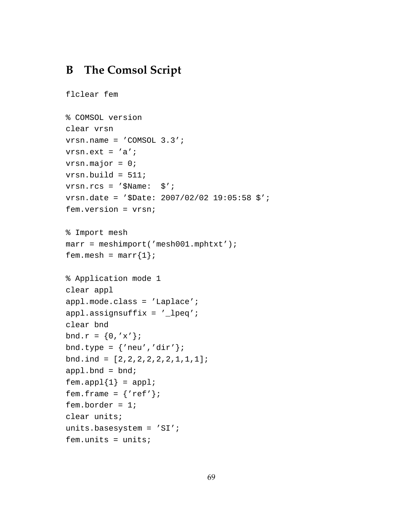## **B The Comsol Script**

```
flclear fem
% COMSOL version
clear vrsn
vrsn.name = 'COMSOL 3.3';
vrsn.ext = 'a';
vrsn.major = 0;
vrsn.build = 511;
vrsn.rcs = '$Name: $';
vrsn.date = '$Date: 2007/02/02 19:05:58 $';
fem.version = vrsn;
% Import mesh
marr = meshimport('mesh001.mphtxt');
fem.mesh = \text{marr}\{1\};
% Application mode 1
clear appl
appl.mode.class = 'Laplace';
appl.assignsuffix = '_lpeq';
clear bnd
bnd.r = {0, 'x'};
bnd.type = \{ 'new', 'dir' \};
bnd.ind = [2,2,2,2,2,2,1,1,1];
app1.bnd = bnd;fem.append{1} = app1;fem.frame = \{ 'ref' \};
fem.border = 1;
clear units;
units.basesystem = 'SI';
fem.units = units;
```